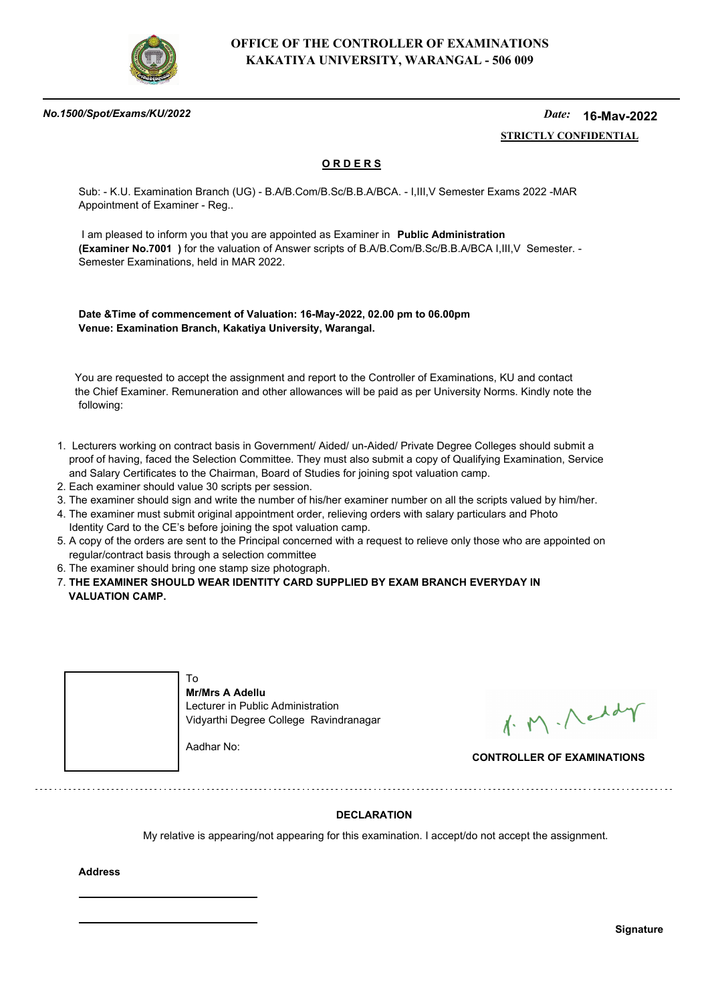

### *No.1500/Spot/Exams/KU/2022*

#### *Date:*  **STRICTLY CONFIDENTIAL 16-May-2022**

## **O R D E R S**

Sub: - K.U. Examination Branch (UG) - B.A/B.Com/B.Sc/B.B.A/BCA. - I,III,V Semester Exams 2022 -MAR Appointment of Examiner - Reg..

 I am pleased to inform you that you are appointed as Examiner in **Public Administration (Examiner No.7001 )** for the valuation of Answer scripts of B.A/B.Com/B.Sc/B.B.A/BCA I,III,V Semester. - Semester Examinations, held in MAR 2022.

**Date &Time of commencement of Valuation: 16-May-2022, 02.00 pm to 06.00pm Venue: Examination Branch, Kakatiya University, Warangal.**

 You are requested to accept the assignment and report to the Controller of Examinations, KU and contact the Chief Examiner. Remuneration and other allowances will be paid as per University Norms. Kindly note the following:

- 1. Lecturers working on contract basis in Government/ Aided/ un-Aided/ Private Degree Colleges should submit a proof of having, faced the Selection Committee. They must also submit a copy of Qualifying Examination, Service and Salary Certificates to the Chairman, Board of Studies for joining spot valuation camp.
- 2. Each examiner should value 30 scripts per session.
- 3. The examiner should sign and write the number of his/her examiner number on all the scripts valued by him/her.
- 4. The examiner must submit original appointment order, relieving orders with salary particulars and Photo Identity Card to the CE's before joining the spot valuation camp.
- 5. A copy of the orders are sent to the Principal concerned with a request to relieve only those who are appointed on regular/contract basis through a selection committee
- 6. The examiner should bring one stamp size photograph.
- 7. **THE EXAMINER SHOULD WEAR IDENTITY CARD SUPPLIED BY EXAM BRANCH EVERYDAY IN VALUATION CAMP.**



1. M. Neddy

**CONTROLLER OF EXAMINATIONS**

## **DECLARATION**

My relative is appearing/not appearing for this examination. I accept/do not accept the assignment.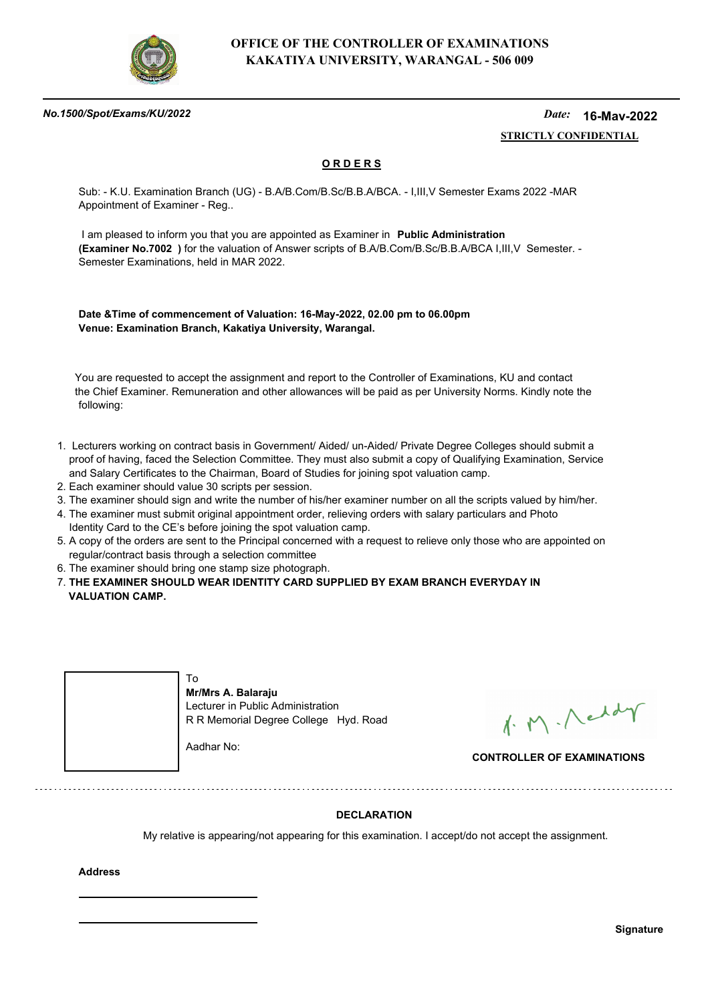

### *No.1500/Spot/Exams/KU/2022*

#### *Date:*  **STRICTLY CONFIDENTIAL 16-May-2022**

## **O R D E R S**

Sub: - K.U. Examination Branch (UG) - B.A/B.Com/B.Sc/B.B.A/BCA. - I,III,V Semester Exams 2022 -MAR Appointment of Examiner - Reg..

 I am pleased to inform you that you are appointed as Examiner in **Public Administration (Examiner No.7002 )** for the valuation of Answer scripts of B.A/B.Com/B.Sc/B.B.A/BCA I,III,V Semester. - Semester Examinations, held in MAR 2022.

**Date &Time of commencement of Valuation: 16-May-2022, 02.00 pm to 06.00pm Venue: Examination Branch, Kakatiya University, Warangal.**

 You are requested to accept the assignment and report to the Controller of Examinations, KU and contact the Chief Examiner. Remuneration and other allowances will be paid as per University Norms. Kindly note the following:

- 1. Lecturers working on contract basis in Government/ Aided/ un-Aided/ Private Degree Colleges should submit a proof of having, faced the Selection Committee. They must also submit a copy of Qualifying Examination, Service and Salary Certificates to the Chairman, Board of Studies for joining spot valuation camp.
- 2. Each examiner should value 30 scripts per session.
- 3. The examiner should sign and write the number of his/her examiner number on all the scripts valued by him/her.
- 4. The examiner must submit original appointment order, relieving orders with salary particulars and Photo Identity Card to the CE's before joining the spot valuation camp.
- 5. A copy of the orders are sent to the Principal concerned with a request to relieve only those who are appointed on regular/contract basis through a selection committee
- 6. The examiner should bring one stamp size photograph.
- 7. **THE EXAMINER SHOULD WEAR IDENTITY CARD SUPPLIED BY EXAM BRANCH EVERYDAY IN VALUATION CAMP.**



1. M. Neddy

**CONTROLLER OF EXAMINATIONS**

## **DECLARATION**

My relative is appearing/not appearing for this examination. I accept/do not accept the assignment.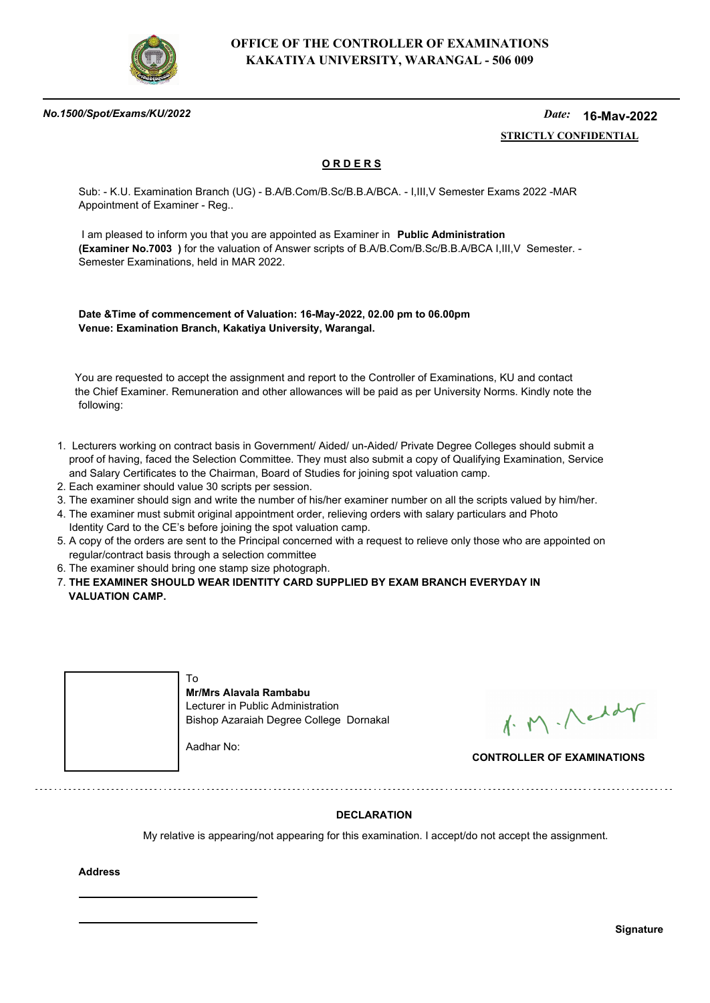

### *No.1500/Spot/Exams/KU/2022*

#### *Date:*  **STRICTLY CONFIDENTIAL 16-May-2022**

## **O R D E R S**

Sub: - K.U. Examination Branch (UG) - B.A/B.Com/B.Sc/B.B.A/BCA. - I,III,V Semester Exams 2022 -MAR Appointment of Examiner - Reg..

 I am pleased to inform you that you are appointed as Examiner in **Public Administration (Examiner No.7003 )** for the valuation of Answer scripts of B.A/B.Com/B.Sc/B.B.A/BCA I,III,V Semester. - Semester Examinations, held in MAR 2022.

**Date &Time of commencement of Valuation: 16-May-2022, 02.00 pm to 06.00pm Venue: Examination Branch, Kakatiya University, Warangal.**

 You are requested to accept the assignment and report to the Controller of Examinations, KU and contact the Chief Examiner. Remuneration and other allowances will be paid as per University Norms. Kindly note the following:

- 1. Lecturers working on contract basis in Government/ Aided/ un-Aided/ Private Degree Colleges should submit a proof of having, faced the Selection Committee. They must also submit a copy of Qualifying Examination, Service and Salary Certificates to the Chairman, Board of Studies for joining spot valuation camp.
- 2. Each examiner should value 30 scripts per session.
- 3. The examiner should sign and write the number of his/her examiner number on all the scripts valued by him/her.
- 4. The examiner must submit original appointment order, relieving orders with salary particulars and Photo Identity Card to the CE's before joining the spot valuation camp.
- 5. A copy of the orders are sent to the Principal concerned with a request to relieve only those who are appointed on regular/contract basis through a selection committee
- 6. The examiner should bring one stamp size photograph.
- 7. **THE EXAMINER SHOULD WEAR IDENTITY CARD SUPPLIED BY EXAM BRANCH EVERYDAY IN VALUATION CAMP.**



1. M. Neddy

**CONTROLLER OF EXAMINATIONS**

## **DECLARATION**

My relative is appearing/not appearing for this examination. I accept/do not accept the assignment.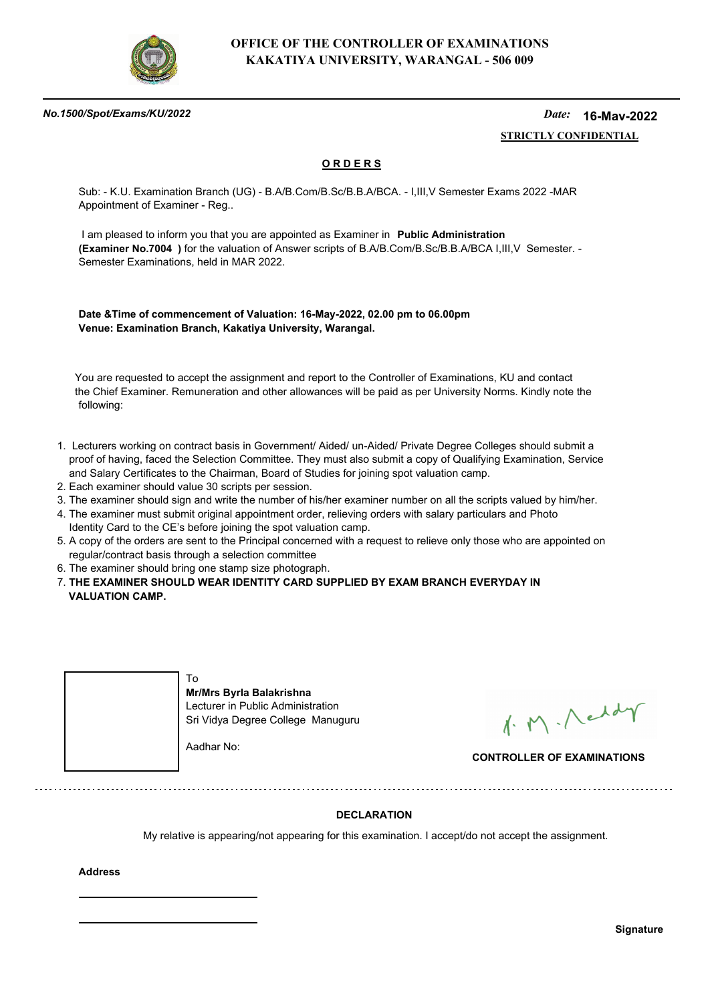

### *No.1500/Spot/Exams/KU/2022*

#### *Date:*  **STRICTLY CONFIDENTIAL 16-May-2022**

## **O R D E R S**

Sub: - K.U. Examination Branch (UG) - B.A/B.Com/B.Sc/B.B.A/BCA. - I,III,V Semester Exams 2022 -MAR Appointment of Examiner - Reg..

 I am pleased to inform you that you are appointed as Examiner in **Public Administration (Examiner No.7004 )** for the valuation of Answer scripts of B.A/B.Com/B.Sc/B.B.A/BCA I,III,V Semester. - Semester Examinations, held in MAR 2022.

**Date &Time of commencement of Valuation: 16-May-2022, 02.00 pm to 06.00pm Venue: Examination Branch, Kakatiya University, Warangal.**

 You are requested to accept the assignment and report to the Controller of Examinations, KU and contact the Chief Examiner. Remuneration and other allowances will be paid as per University Norms. Kindly note the following:

- 1. Lecturers working on contract basis in Government/ Aided/ un-Aided/ Private Degree Colleges should submit a proof of having, faced the Selection Committee. They must also submit a copy of Qualifying Examination, Service and Salary Certificates to the Chairman, Board of Studies for joining spot valuation camp.
- 2. Each examiner should value 30 scripts per session.
- 3. The examiner should sign and write the number of his/her examiner number on all the scripts valued by him/her.
- 4. The examiner must submit original appointment order, relieving orders with salary particulars and Photo Identity Card to the CE's before joining the spot valuation camp.
- 5. A copy of the orders are sent to the Principal concerned with a request to relieve only those who are appointed on regular/contract basis through a selection committee
- 6. The examiner should bring one stamp size photograph.
- 7. **THE EXAMINER SHOULD WEAR IDENTITY CARD SUPPLIED BY EXAM BRANCH EVERYDAY IN VALUATION CAMP.**



1. M. Neddy

**CONTROLLER OF EXAMINATIONS**

## **DECLARATION**

My relative is appearing/not appearing for this examination. I accept/do not accept the assignment.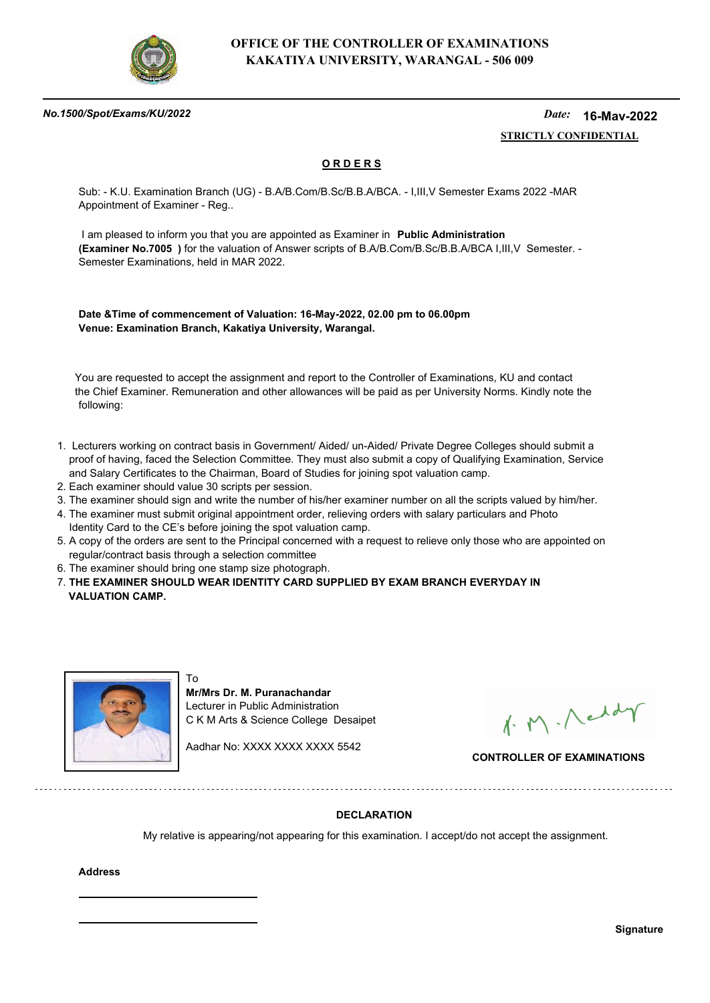

### *No.1500/Spot/Exams/KU/2022*

#### *Date:*  **STRICTLY CONFIDENTIAL 16-May-2022**

## **O R D E R S**

Sub: - K.U. Examination Branch (UG) - B.A/B.Com/B.Sc/B.B.A/BCA. - I,III,V Semester Exams 2022 -MAR Appointment of Examiner - Reg..

 I am pleased to inform you that you are appointed as Examiner in **Public Administration (Examiner No.7005 )** for the valuation of Answer scripts of B.A/B.Com/B.Sc/B.B.A/BCA I,III,V Semester. - Semester Examinations, held in MAR 2022.

**Date &Time of commencement of Valuation: 16-May-2022, 02.00 pm to 06.00pm Venue: Examination Branch, Kakatiya University, Warangal.**

 You are requested to accept the assignment and report to the Controller of Examinations, KU and contact the Chief Examiner. Remuneration and other allowances will be paid as per University Norms. Kindly note the following:

- 1. Lecturers working on contract basis in Government/ Aided/ un-Aided/ Private Degree Colleges should submit a proof of having, faced the Selection Committee. They must also submit a copy of Qualifying Examination, Service and Salary Certificates to the Chairman, Board of Studies for joining spot valuation camp.
- 2. Each examiner should value 30 scripts per session.
- 3. The examiner should sign and write the number of his/her examiner number on all the scripts valued by him/her.
- 4. The examiner must submit original appointment order, relieving orders with salary particulars and Photo Identity Card to the CE's before joining the spot valuation camp.
- 5. A copy of the orders are sent to the Principal concerned with a request to relieve only those who are appointed on regular/contract basis through a selection committee
- 6. The examiner should bring one stamp size photograph.

7. **THE EXAMINER SHOULD WEAR IDENTITY CARD SUPPLIED BY EXAM BRANCH EVERYDAY IN VALUATION CAMP.**



To **Mr/Mrs Dr. M. Puranachandar** Lecturer in Public Administration C K M Arts & Science College Desaipet

Aadhar No: XXXX XXXX XXXX 5542

1. M. Neddy

**CONTROLLER OF EXAMINATIONS**

## **DECLARATION**

My relative is appearing/not appearing for this examination. I accept/do not accept the assignment.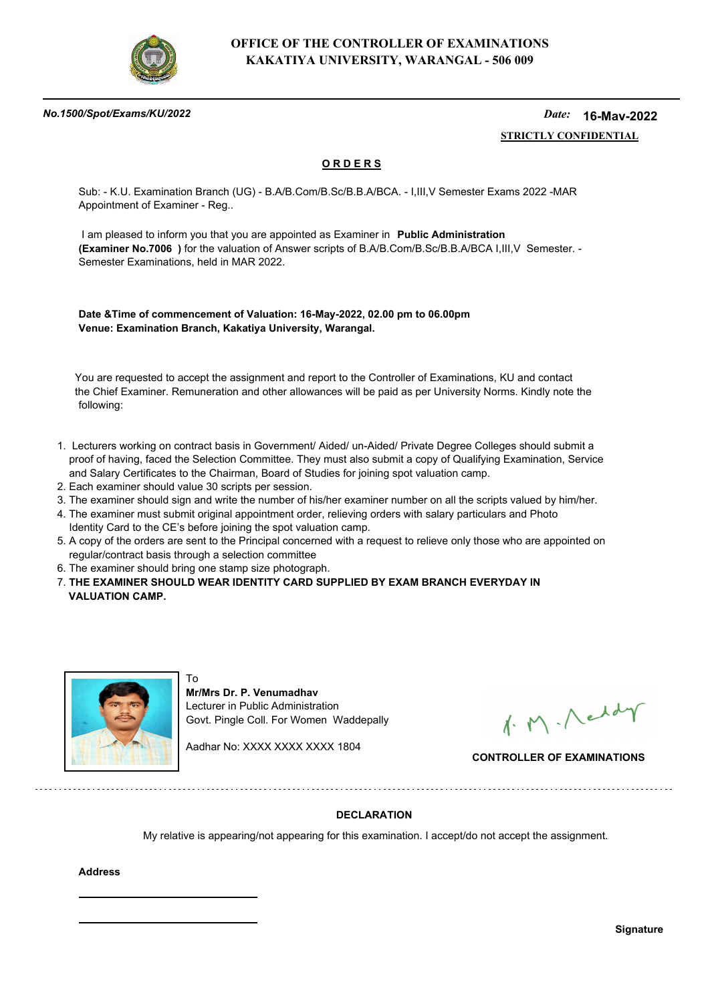

### *No.1500/Spot/Exams/KU/2022*

#### *Date:*  **STRICTLY CONFIDENTIAL 16-May-2022**

## **O R D E R S**

Sub: - K.U. Examination Branch (UG) - B.A/B.Com/B.Sc/B.B.A/BCA. - I,III,V Semester Exams 2022 -MAR Appointment of Examiner - Reg..

 I am pleased to inform you that you are appointed as Examiner in **Public Administration (Examiner No.7006 )** for the valuation of Answer scripts of B.A/B.Com/B.Sc/B.B.A/BCA I,III,V Semester. - Semester Examinations, held in MAR 2022.

**Date &Time of commencement of Valuation: 16-May-2022, 02.00 pm to 06.00pm Venue: Examination Branch, Kakatiya University, Warangal.**

 You are requested to accept the assignment and report to the Controller of Examinations, KU and contact the Chief Examiner. Remuneration and other allowances will be paid as per University Norms. Kindly note the following:

- 1. Lecturers working on contract basis in Government/ Aided/ un-Aided/ Private Degree Colleges should submit a proof of having, faced the Selection Committee. They must also submit a copy of Qualifying Examination, Service and Salary Certificates to the Chairman, Board of Studies for joining spot valuation camp.
- 2. Each examiner should value 30 scripts per session.
- 3. The examiner should sign and write the number of his/her examiner number on all the scripts valued by him/her.
- 4. The examiner must submit original appointment order, relieving orders with salary particulars and Photo Identity Card to the CE's before joining the spot valuation camp.
- 5. A copy of the orders are sent to the Principal concerned with a request to relieve only those who are appointed on regular/contract basis through a selection committee
- 6. The examiner should bring one stamp size photograph.

To

7. **THE EXAMINER SHOULD WEAR IDENTITY CARD SUPPLIED BY EXAM BRANCH EVERYDAY IN VALUATION CAMP.**



**Mr/Mrs Dr. P. Venumadhav** Lecturer in Public Administration Govt. Pingle Coll. For Women Waddepally

Aadhar No: XXXX XXXX XXXX 1804

1. M. Neddy

**CONTROLLER OF EXAMINATIONS**

## **DECLARATION**

My relative is appearing/not appearing for this examination. I accept/do not accept the assignment.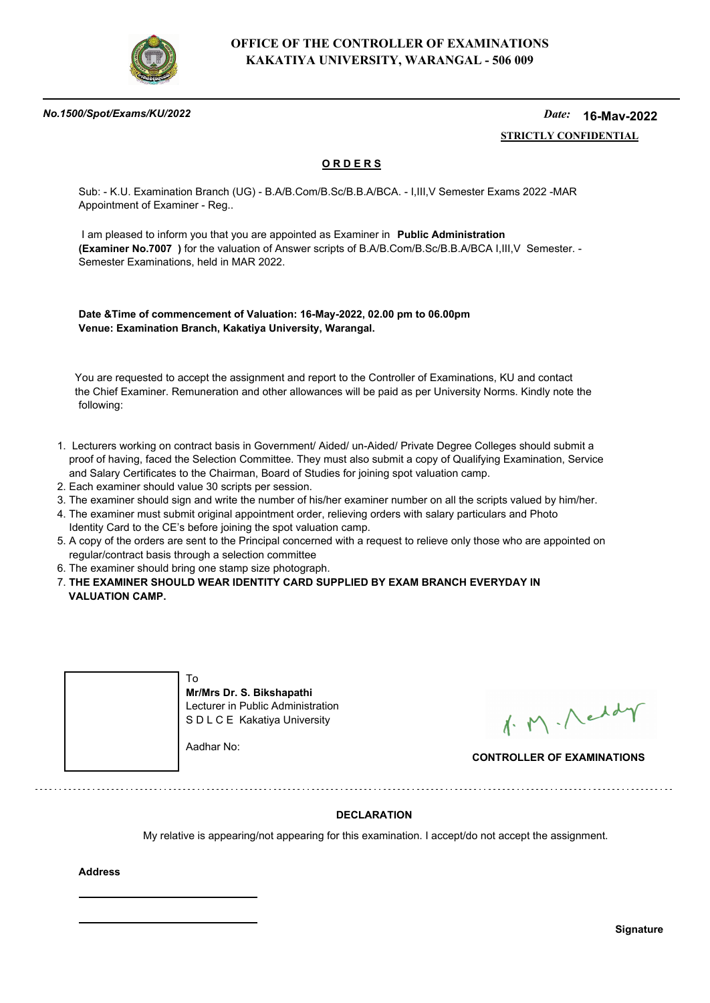

### *No.1500/Spot/Exams/KU/2022*

#### *Date:*  **STRICTLY CONFIDENTIAL 16-May-2022**

## **O R D E R S**

Sub: - K.U. Examination Branch (UG) - B.A/B.Com/B.Sc/B.B.A/BCA. - I,III,V Semester Exams 2022 -MAR Appointment of Examiner - Reg..

 I am pleased to inform you that you are appointed as Examiner in **Public Administration (Examiner No.7007 )** for the valuation of Answer scripts of B.A/B.Com/B.Sc/B.B.A/BCA I,III,V Semester. - Semester Examinations, held in MAR 2022.

**Date &Time of commencement of Valuation: 16-May-2022, 02.00 pm to 06.00pm Venue: Examination Branch, Kakatiya University, Warangal.**

 You are requested to accept the assignment and report to the Controller of Examinations, KU and contact the Chief Examiner. Remuneration and other allowances will be paid as per University Norms. Kindly note the following:

- 1. Lecturers working on contract basis in Government/ Aided/ un-Aided/ Private Degree Colleges should submit a proof of having, faced the Selection Committee. They must also submit a copy of Qualifying Examination, Service and Salary Certificates to the Chairman, Board of Studies for joining spot valuation camp.
- 2. Each examiner should value 30 scripts per session.
- 3. The examiner should sign and write the number of his/her examiner number on all the scripts valued by him/her.
- 4. The examiner must submit original appointment order, relieving orders with salary particulars and Photo Identity Card to the CE's before joining the spot valuation camp.
- 5. A copy of the orders are sent to the Principal concerned with a request to relieve only those who are appointed on regular/contract basis through a selection committee
- 6. The examiner should bring one stamp size photograph.
- 7. **THE EXAMINER SHOULD WEAR IDENTITY CARD SUPPLIED BY EXAM BRANCH EVERYDAY IN VALUATION CAMP.**



**Mr/Mrs Dr. S. Bikshapathi** Lecturer in Public Administration S D L C E Kakatiya University

Aadhar No:

1. M. Neddy

**CONTROLLER OF EXAMINATIONS**

## **DECLARATION**

My relative is appearing/not appearing for this examination. I accept/do not accept the assignment.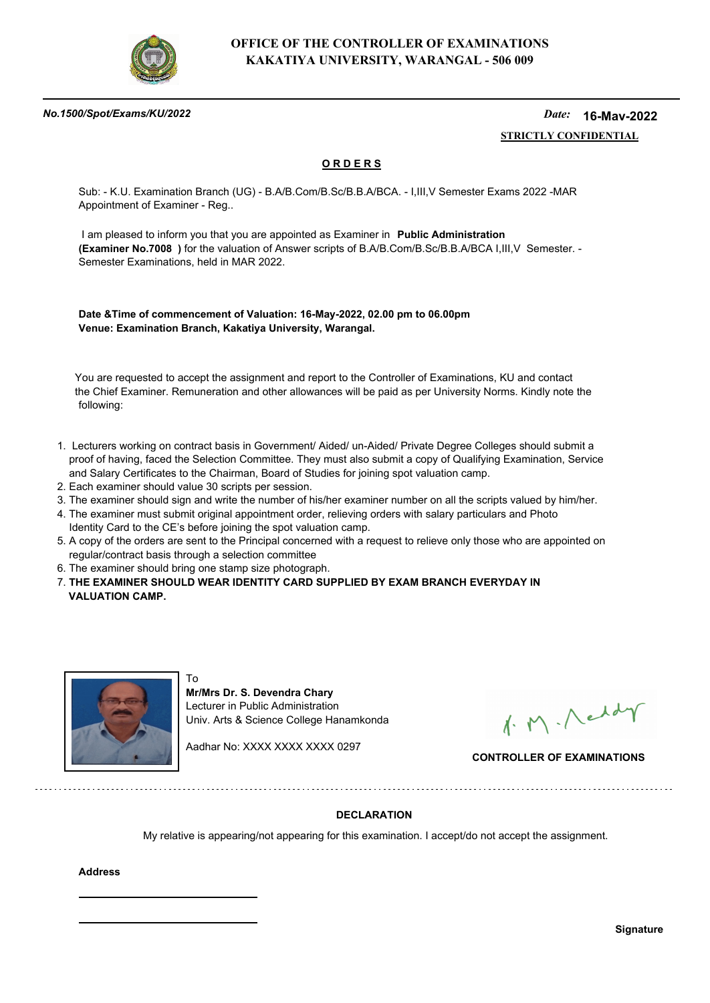

### *No.1500/Spot/Exams/KU/2022*

#### *Date:*  **STRICTLY CONFIDENTIAL 16-May-2022**

## **O R D E R S**

Sub: - K.U. Examination Branch (UG) - B.A/B.Com/B.Sc/B.B.A/BCA. - I,III,V Semester Exams 2022 -MAR Appointment of Examiner - Reg..

 I am pleased to inform you that you are appointed as Examiner in **Public Administration (Examiner No.7008 )** for the valuation of Answer scripts of B.A/B.Com/B.Sc/B.B.A/BCA I,III,V Semester. - Semester Examinations, held in MAR 2022.

**Date &Time of commencement of Valuation: 16-May-2022, 02.00 pm to 06.00pm Venue: Examination Branch, Kakatiya University, Warangal.**

 You are requested to accept the assignment and report to the Controller of Examinations, KU and contact the Chief Examiner. Remuneration and other allowances will be paid as per University Norms. Kindly note the following:

- 1. Lecturers working on contract basis in Government/ Aided/ un-Aided/ Private Degree Colleges should submit a proof of having, faced the Selection Committee. They must also submit a copy of Qualifying Examination, Service and Salary Certificates to the Chairman, Board of Studies for joining spot valuation camp.
- 2. Each examiner should value 30 scripts per session.
- 3. The examiner should sign and write the number of his/her examiner number on all the scripts valued by him/her.
- 4. The examiner must submit original appointment order, relieving orders with salary particulars and Photo Identity Card to the CE's before joining the spot valuation camp.
- 5. A copy of the orders are sent to the Principal concerned with a request to relieve only those who are appointed on regular/contract basis through a selection committee
- 6. The examiner should bring one stamp size photograph.

7. **THE EXAMINER SHOULD WEAR IDENTITY CARD SUPPLIED BY EXAM BRANCH EVERYDAY IN VALUATION CAMP.**



To **Mr/Mrs Dr. S. Devendra Chary** Lecturer in Public Administration Univ. Arts & Science College Hanamkonda

Aadhar No: XXXX XXXX XXXX 0297

1. M. Neddy

**CONTROLLER OF EXAMINATIONS**

## **DECLARATION**

My relative is appearing/not appearing for this examination. I accept/do not accept the assignment.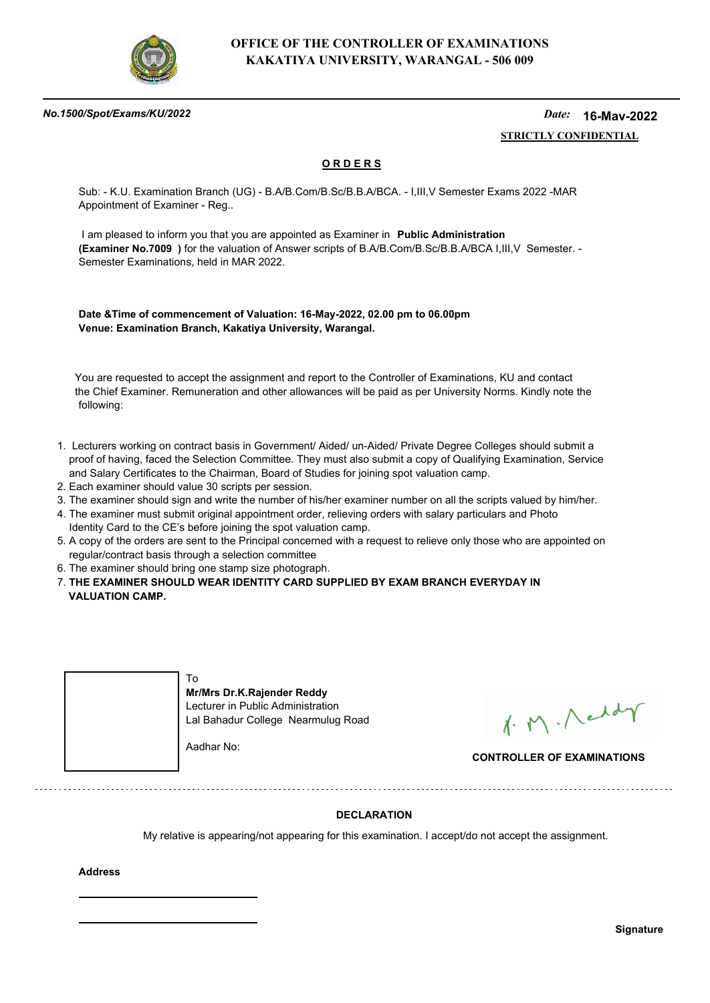

### *No.1500/Spot/Exams/KU/2022*

#### *Date:*  **STRICTLY CONFIDENTIAL 16-May-2022**

## **O R D E R S**

Sub: - K.U. Examination Branch (UG) - B.A/B.Com/B.Sc/B.B.A/BCA. - I,III,V Semester Exams 2022 -MAR Appointment of Examiner - Reg..

 I am pleased to inform you that you are appointed as Examiner in **Public Administration (Examiner No.7009 )** for the valuation of Answer scripts of B.A/B.Com/B.Sc/B.B.A/BCA I,III,V Semester. - Semester Examinations, held in MAR 2022.

**Date &Time of commencement of Valuation: 16-May-2022, 02.00 pm to 06.00pm Venue: Examination Branch, Kakatiya University, Warangal.**

 You are requested to accept the assignment and report to the Controller of Examinations, KU and contact the Chief Examiner. Remuneration and other allowances will be paid as per University Norms. Kindly note the following:

- 1. Lecturers working on contract basis in Government/ Aided/ un-Aided/ Private Degree Colleges should submit a proof of having, faced the Selection Committee. They must also submit a copy of Qualifying Examination, Service and Salary Certificates to the Chairman, Board of Studies for joining spot valuation camp.
- 2. Each examiner should value 30 scripts per session.
- 3. The examiner should sign and write the number of his/her examiner number on all the scripts valued by him/her.
- 4. The examiner must submit original appointment order, relieving orders with salary particulars and Photo Identity Card to the CE's before joining the spot valuation camp.
- 5. A copy of the orders are sent to the Principal concerned with a request to relieve only those who are appointed on regular/contract basis through a selection committee
- 6. The examiner should bring one stamp size photograph.
- 7. **THE EXAMINER SHOULD WEAR IDENTITY CARD SUPPLIED BY EXAM BRANCH EVERYDAY IN VALUATION CAMP.**



1. M. Neddy

**CONTROLLER OF EXAMINATIONS**

## **DECLARATION**

My relative is appearing/not appearing for this examination. I accept/do not accept the assignment.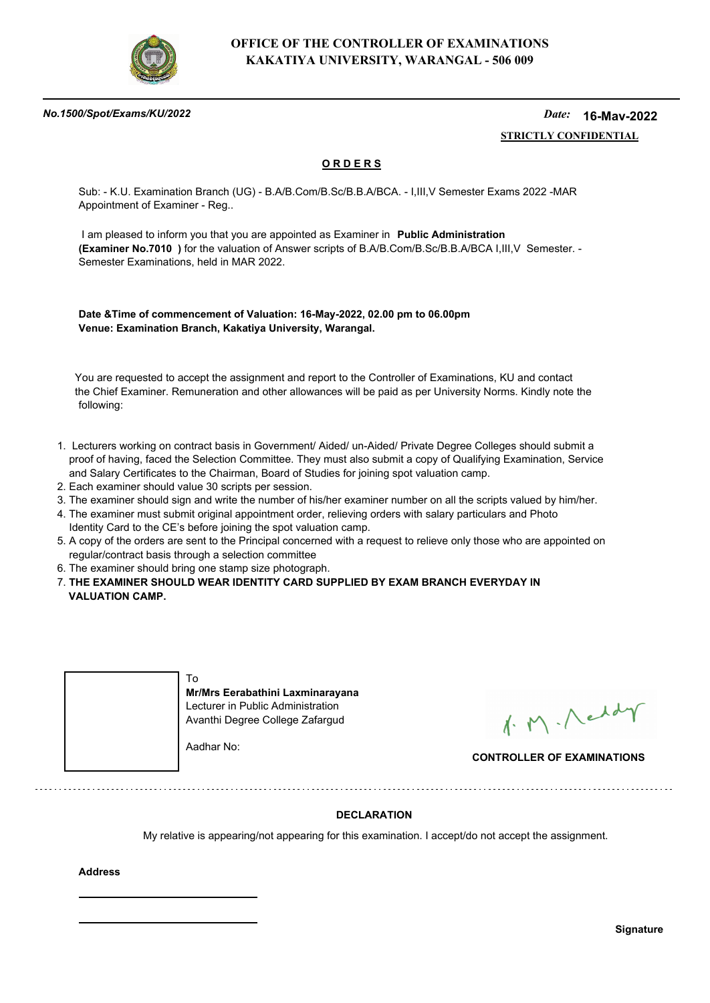

### *No.1500/Spot/Exams/KU/2022*

#### *Date:*  **STRICTLY CONFIDENTIAL 16-May-2022**

## **O R D E R S**

Sub: - K.U. Examination Branch (UG) - B.A/B.Com/B.Sc/B.B.A/BCA. - I,III,V Semester Exams 2022 -MAR Appointment of Examiner - Reg..

 I am pleased to inform you that you are appointed as Examiner in **Public Administration (Examiner No.7010 )** for the valuation of Answer scripts of B.A/B.Com/B.Sc/B.B.A/BCA I,III,V Semester. - Semester Examinations, held in MAR 2022.

**Date &Time of commencement of Valuation: 16-May-2022, 02.00 pm to 06.00pm Venue: Examination Branch, Kakatiya University, Warangal.**

 You are requested to accept the assignment and report to the Controller of Examinations, KU and contact the Chief Examiner. Remuneration and other allowances will be paid as per University Norms. Kindly note the following:

- 1. Lecturers working on contract basis in Government/ Aided/ un-Aided/ Private Degree Colleges should submit a proof of having, faced the Selection Committee. They must also submit a copy of Qualifying Examination, Service and Salary Certificates to the Chairman, Board of Studies for joining spot valuation camp.
- 2. Each examiner should value 30 scripts per session.
- 3. The examiner should sign and write the number of his/her examiner number on all the scripts valued by him/her.
- 4. The examiner must submit original appointment order, relieving orders with salary particulars and Photo Identity Card to the CE's before joining the spot valuation camp.
- 5. A copy of the orders are sent to the Principal concerned with a request to relieve only those who are appointed on regular/contract basis through a selection committee
- 6. The examiner should bring one stamp size photograph.
- 7. **THE EXAMINER SHOULD WEAR IDENTITY CARD SUPPLIED BY EXAM BRANCH EVERYDAY IN VALUATION CAMP.**

| Mr/Mrs Eerabathini Laxminarayana<br>Lecturer in Public Administration<br>Avanthi Degree College Zafargud |  |
|----------------------------------------------------------------------------------------------------------|--|
| Aadhar No:                                                                                               |  |

1. M. Neddy

**CONTROLLER OF EXAMINATIONS**

## **DECLARATION**

My relative is appearing/not appearing for this examination. I accept/do not accept the assignment.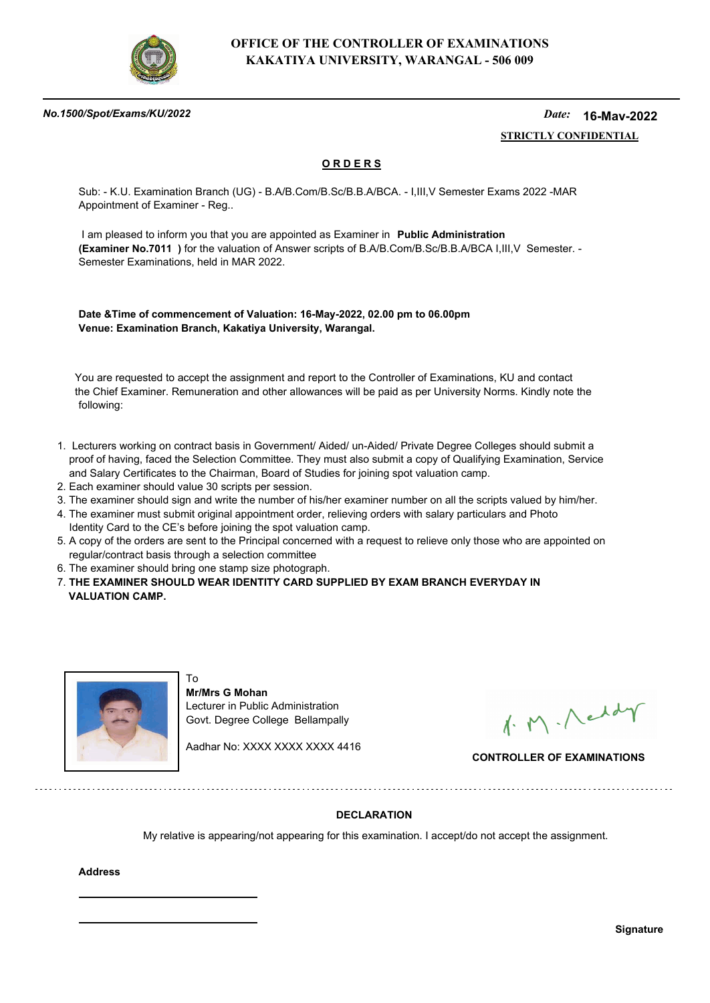

### *No.1500/Spot/Exams/KU/2022*

#### *Date:*  **STRICTLY CONFIDENTIAL 16-May-2022**

## **O R D E R S**

Sub: - K.U. Examination Branch (UG) - B.A/B.Com/B.Sc/B.B.A/BCA. - I,III,V Semester Exams 2022 -MAR Appointment of Examiner - Reg..

 I am pleased to inform you that you are appointed as Examiner in **Public Administration (Examiner No.7011 )** for the valuation of Answer scripts of B.A/B.Com/B.Sc/B.B.A/BCA I,III,V Semester. - Semester Examinations, held in MAR 2022.

**Date &Time of commencement of Valuation: 16-May-2022, 02.00 pm to 06.00pm Venue: Examination Branch, Kakatiya University, Warangal.**

 You are requested to accept the assignment and report to the Controller of Examinations, KU and contact the Chief Examiner. Remuneration and other allowances will be paid as per University Norms. Kindly note the following:

- 1. Lecturers working on contract basis in Government/ Aided/ un-Aided/ Private Degree Colleges should submit a proof of having, faced the Selection Committee. They must also submit a copy of Qualifying Examination, Service and Salary Certificates to the Chairman, Board of Studies for joining spot valuation camp.
- 2. Each examiner should value 30 scripts per session.
- 3. The examiner should sign and write the number of his/her examiner number on all the scripts valued by him/her.
- 4. The examiner must submit original appointment order, relieving orders with salary particulars and Photo Identity Card to the CE's before joining the spot valuation camp.
- 5. A copy of the orders are sent to the Principal concerned with a request to relieve only those who are appointed on regular/contract basis through a selection committee
- 6. The examiner should bring one stamp size photograph.

To

7. **THE EXAMINER SHOULD WEAR IDENTITY CARD SUPPLIED BY EXAM BRANCH EVERYDAY IN VALUATION CAMP.**



**Mr/Mrs G Mohan** Lecturer in Public Administration Govt. Degree College Bellampally

Aadhar No: XXXX XXXX XXXX 4416

1. M. Neddy

**CONTROLLER OF EXAMINATIONS**

## **DECLARATION**

My relative is appearing/not appearing for this examination. I accept/do not accept the assignment.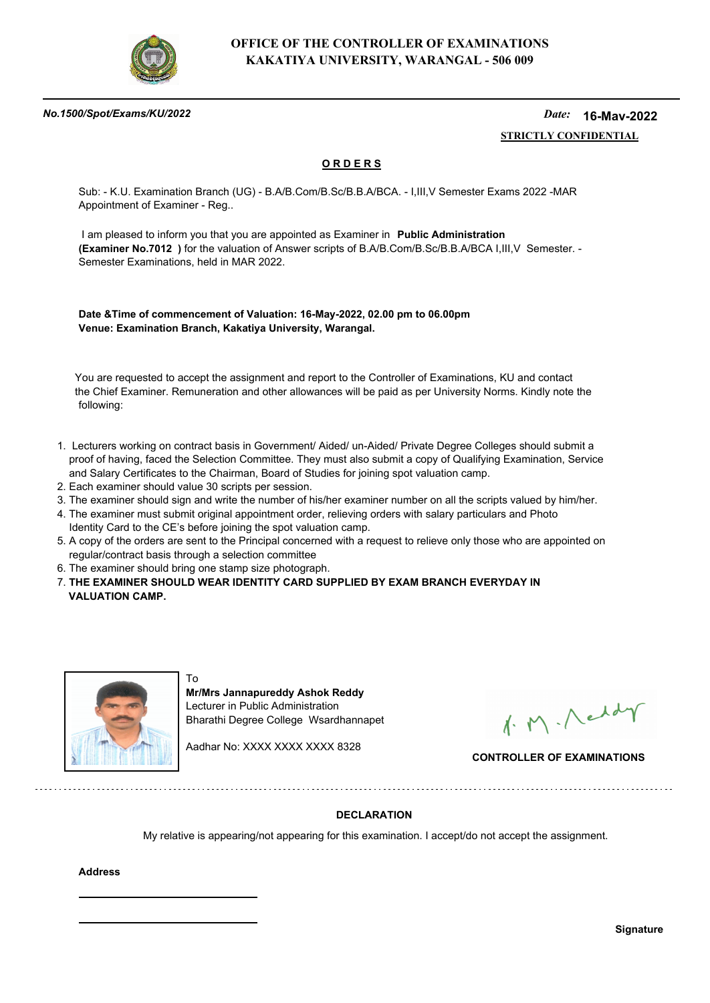

### *No.1500/Spot/Exams/KU/2022*

#### *Date:*  **STRICTLY CONFIDENTIAL 16-May-2022**

## **O R D E R S**

Sub: - K.U. Examination Branch (UG) - B.A/B.Com/B.Sc/B.B.A/BCA. - I,III,V Semester Exams 2022 -MAR Appointment of Examiner - Reg..

 I am pleased to inform you that you are appointed as Examiner in **Public Administration (Examiner No.7012 )** for the valuation of Answer scripts of B.A/B.Com/B.Sc/B.B.A/BCA I,III,V Semester. - Semester Examinations, held in MAR 2022.

**Date &Time of commencement of Valuation: 16-May-2022, 02.00 pm to 06.00pm Venue: Examination Branch, Kakatiya University, Warangal.**

 You are requested to accept the assignment and report to the Controller of Examinations, KU and contact the Chief Examiner. Remuneration and other allowances will be paid as per University Norms. Kindly note the following:

- 1. Lecturers working on contract basis in Government/ Aided/ un-Aided/ Private Degree Colleges should submit a proof of having, faced the Selection Committee. They must also submit a copy of Qualifying Examination, Service and Salary Certificates to the Chairman, Board of Studies for joining spot valuation camp.
- 2. Each examiner should value 30 scripts per session.
- 3. The examiner should sign and write the number of his/her examiner number on all the scripts valued by him/her.
- 4. The examiner must submit original appointment order, relieving orders with salary particulars and Photo Identity Card to the CE's before joining the spot valuation camp.
- 5. A copy of the orders are sent to the Principal concerned with a request to relieve only those who are appointed on regular/contract basis through a selection committee
- 6. The examiner should bring one stamp size photograph.

To

7. **THE EXAMINER SHOULD WEAR IDENTITY CARD SUPPLIED BY EXAM BRANCH EVERYDAY IN VALUATION CAMP.**



**Mr/Mrs Jannapureddy Ashok Reddy** Lecturer in Public Administration Bharathi Degree College Wsardhannapet

Aadhar No: XXXX XXXX XXXX 8328

1. M. Neddy

**CONTROLLER OF EXAMINATIONS**

## **DECLARATION**

My relative is appearing/not appearing for this examination. I accept/do not accept the assignment.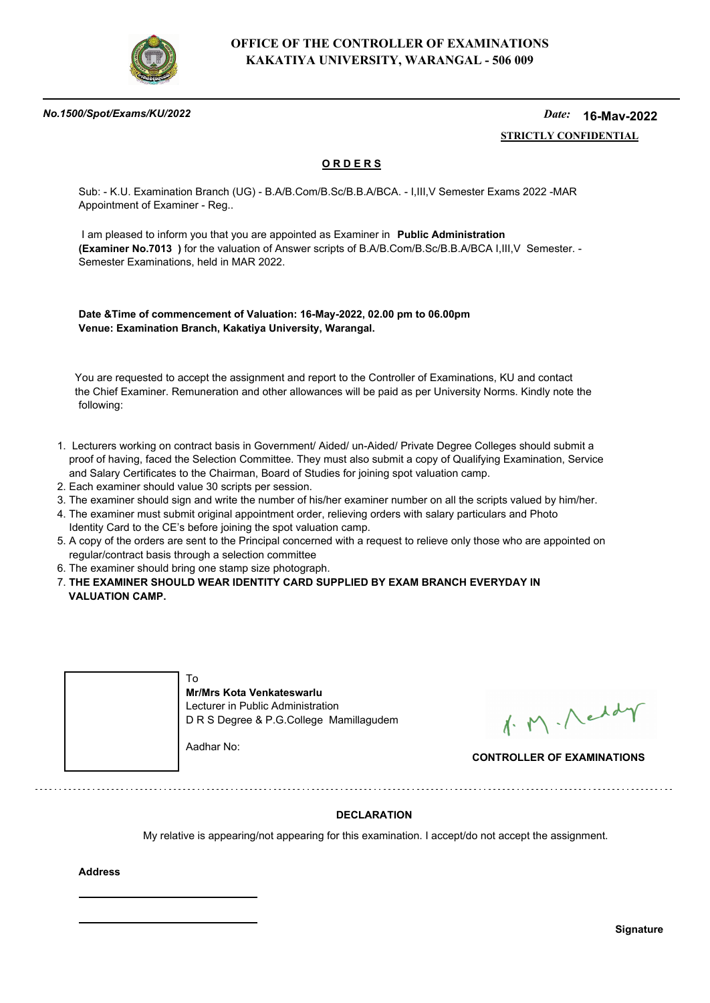

### *No.1500/Spot/Exams/KU/2022*

#### *Date:*  **STRICTLY CONFIDENTIAL 16-May-2022**

## **O R D E R S**

Sub: - K.U. Examination Branch (UG) - B.A/B.Com/B.Sc/B.B.A/BCA. - I,III,V Semester Exams 2022 -MAR Appointment of Examiner - Reg..

 I am pleased to inform you that you are appointed as Examiner in **Public Administration (Examiner No.7013 )** for the valuation of Answer scripts of B.A/B.Com/B.Sc/B.B.A/BCA I,III,V Semester. - Semester Examinations, held in MAR 2022.

**Date &Time of commencement of Valuation: 16-May-2022, 02.00 pm to 06.00pm Venue: Examination Branch, Kakatiya University, Warangal.**

 You are requested to accept the assignment and report to the Controller of Examinations, KU and contact the Chief Examiner. Remuneration and other allowances will be paid as per University Norms. Kindly note the following:

- 1. Lecturers working on contract basis in Government/ Aided/ un-Aided/ Private Degree Colleges should submit a proof of having, faced the Selection Committee. They must also submit a copy of Qualifying Examination, Service and Salary Certificates to the Chairman, Board of Studies for joining spot valuation camp.
- 2. Each examiner should value 30 scripts per session.
- 3. The examiner should sign and write the number of his/her examiner number on all the scripts valued by him/her.
- 4. The examiner must submit original appointment order, relieving orders with salary particulars and Photo Identity Card to the CE's before joining the spot valuation camp.
- 5. A copy of the orders are sent to the Principal concerned with a request to relieve only those who are appointed on regular/contract basis through a selection committee
- 6. The examiner should bring one stamp size photograph.
- 7. **THE EXAMINER SHOULD WEAR IDENTITY CARD SUPPLIED BY EXAM BRANCH EVERYDAY IN VALUATION CAMP.**



1. M. Neddy

**CONTROLLER OF EXAMINATIONS**

## **DECLARATION**

My relative is appearing/not appearing for this examination. I accept/do not accept the assignment.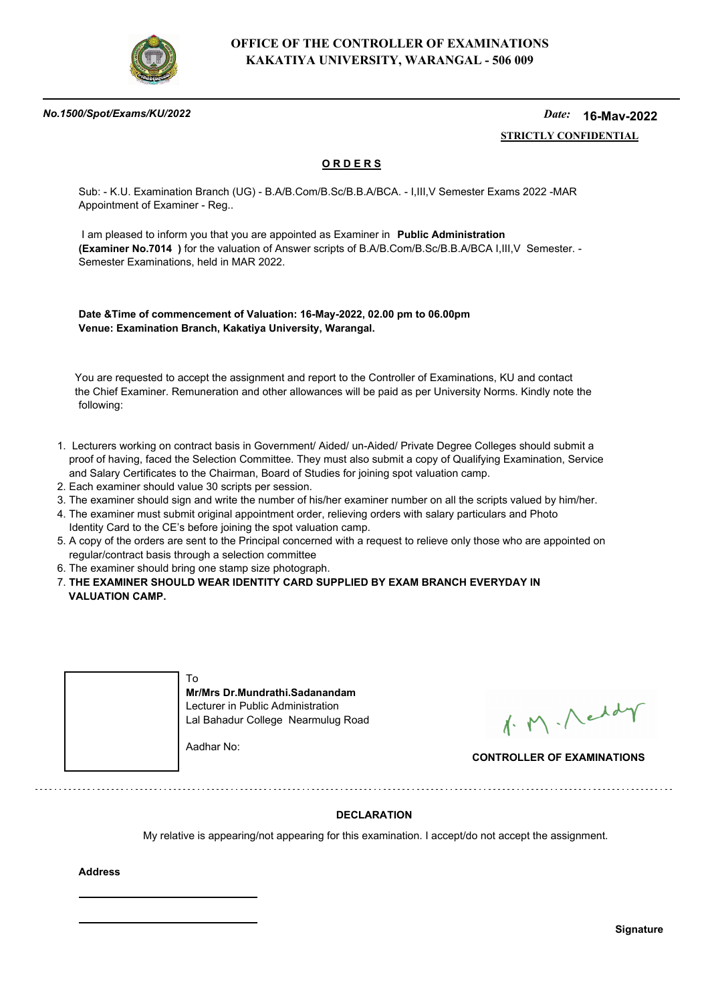

### *No.1500/Spot/Exams/KU/2022*

#### *Date:*  **STRICTLY CONFIDENTIAL 16-May-2022**

## **O R D E R S**

Sub: - K.U. Examination Branch (UG) - B.A/B.Com/B.Sc/B.B.A/BCA. - I,III,V Semester Exams 2022 -MAR Appointment of Examiner - Reg..

 I am pleased to inform you that you are appointed as Examiner in **Public Administration (Examiner No.7014 )** for the valuation of Answer scripts of B.A/B.Com/B.Sc/B.B.A/BCA I,III,V Semester. - Semester Examinations, held in MAR 2022.

**Date &Time of commencement of Valuation: 16-May-2022, 02.00 pm to 06.00pm Venue: Examination Branch, Kakatiya University, Warangal.**

 You are requested to accept the assignment and report to the Controller of Examinations, KU and contact the Chief Examiner. Remuneration and other allowances will be paid as per University Norms. Kindly note the following:

- 1. Lecturers working on contract basis in Government/ Aided/ un-Aided/ Private Degree Colleges should submit a proof of having, faced the Selection Committee. They must also submit a copy of Qualifying Examination, Service and Salary Certificates to the Chairman, Board of Studies for joining spot valuation camp.
- 2. Each examiner should value 30 scripts per session.
- 3. The examiner should sign and write the number of his/her examiner number on all the scripts valued by him/her.
- 4. The examiner must submit original appointment order, relieving orders with salary particulars and Photo Identity Card to the CE's before joining the spot valuation camp.
- 5. A copy of the orders are sent to the Principal concerned with a request to relieve only those who are appointed on regular/contract basis through a selection committee
- 6. The examiner should bring one stamp size photograph.
- 7. **THE EXAMINER SHOULD WEAR IDENTITY CARD SUPPLIED BY EXAM BRANCH EVERYDAY IN VALUATION CAMP.**

| Mr/Mrs Dr.Mundrathi.Sadanandam<br>Lecturer in Public Administration<br>Lal Bahadur College Nearmulug Road |
|-----------------------------------------------------------------------------------------------------------|
| Aadhar No:                                                                                                |

1. M. Neddy

**CONTROLLER OF EXAMINATIONS**

## **DECLARATION**

My relative is appearing/not appearing for this examination. I accept/do not accept the assignment.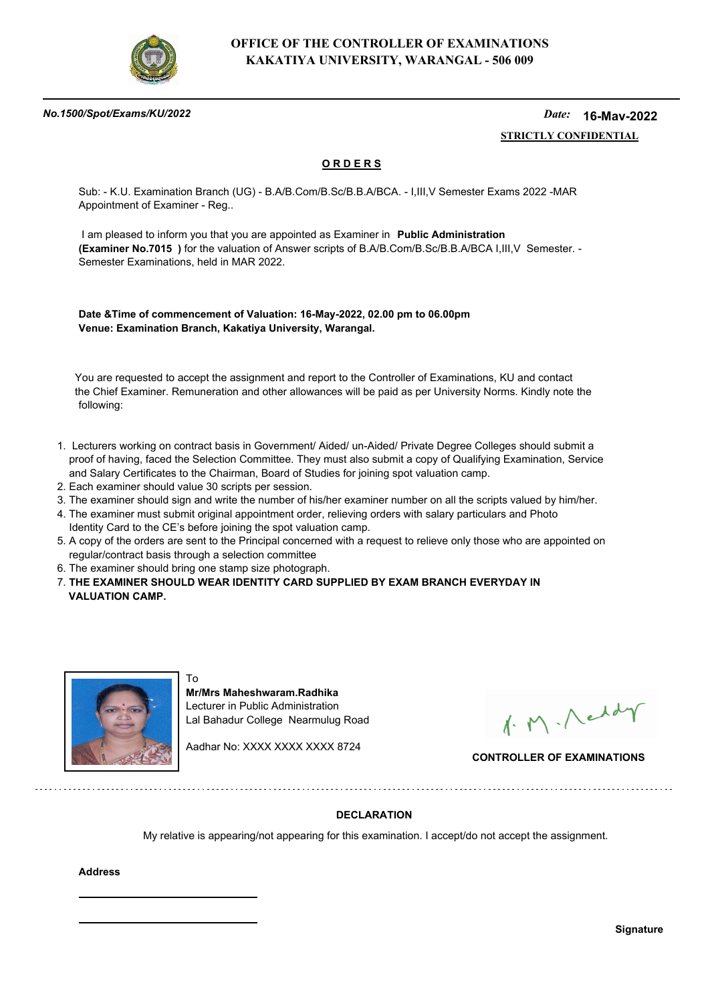

### *No.1500/Spot/Exams/KU/2022*

#### *Date:*  **STRICTLY CONFIDENTIAL 16-May-2022**

## **O R D E R S**

Sub: - K.U. Examination Branch (UG) - B.A/B.Com/B.Sc/B.B.A/BCA. - I,III,V Semester Exams 2022 -MAR Appointment of Examiner - Reg..

 I am pleased to inform you that you are appointed as Examiner in **Public Administration (Examiner No.7015 )** for the valuation of Answer scripts of B.A/B.Com/B.Sc/B.B.A/BCA I,III,V Semester. - Semester Examinations, held in MAR 2022.

**Date &Time of commencement of Valuation: 16-May-2022, 02.00 pm to 06.00pm Venue: Examination Branch, Kakatiya University, Warangal.**

 You are requested to accept the assignment and report to the Controller of Examinations, KU and contact the Chief Examiner. Remuneration and other allowances will be paid as per University Norms. Kindly note the following:

- 1. Lecturers working on contract basis in Government/ Aided/ un-Aided/ Private Degree Colleges should submit a proof of having, faced the Selection Committee. They must also submit a copy of Qualifying Examination, Service and Salary Certificates to the Chairman, Board of Studies for joining spot valuation camp.
- 2. Each examiner should value 30 scripts per session.
- 3. The examiner should sign and write the number of his/her examiner number on all the scripts valued by him/her.
- 4. The examiner must submit original appointment order, relieving orders with salary particulars and Photo Identity Card to the CE's before joining the spot valuation camp.
- 5. A copy of the orders are sent to the Principal concerned with a request to relieve only those who are appointed on regular/contract basis through a selection committee
- 6. The examiner should bring one stamp size photograph.

To

7. **THE EXAMINER SHOULD WEAR IDENTITY CARD SUPPLIED BY EXAM BRANCH EVERYDAY IN VALUATION CAMP.**



**Mr/Mrs Maheshwaram.Radhika** Lecturer in Public Administration Lal Bahadur College Nearmulug Road

Aadhar No: XXXX XXXX XXXX 8724

1. M. Neddy

**CONTROLLER OF EXAMINATIONS**

## **DECLARATION**

My relative is appearing/not appearing for this examination. I accept/do not accept the assignment.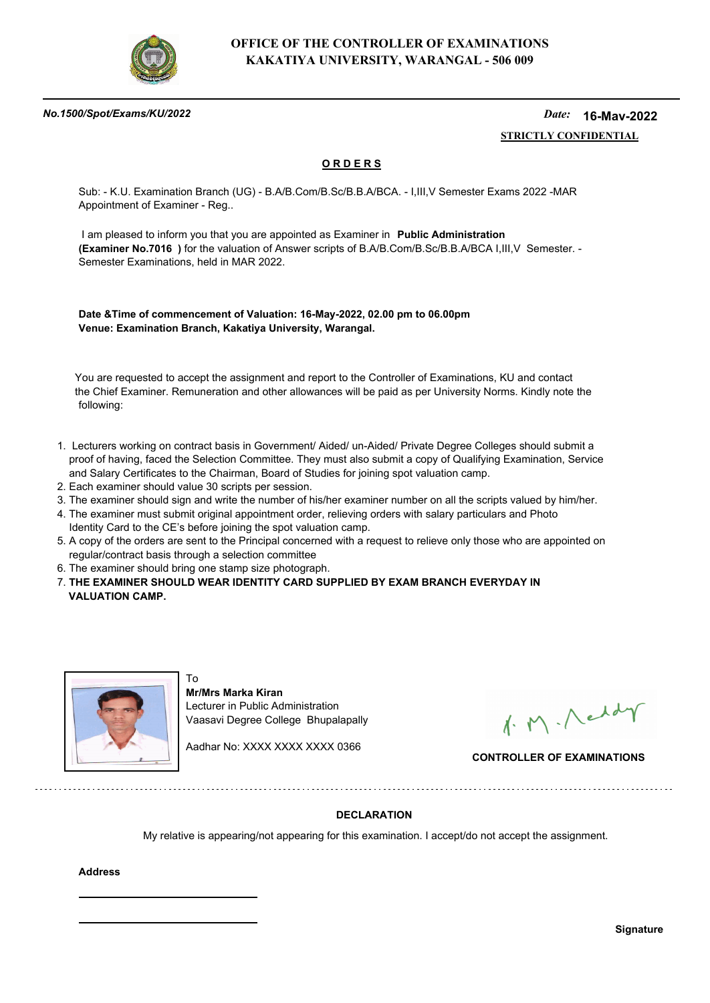

### *No.1500/Spot/Exams/KU/2022*

#### *Date:*  **STRICTLY CONFIDENTIAL 16-May-2022**

## **O R D E R S**

Sub: - K.U. Examination Branch (UG) - B.A/B.Com/B.Sc/B.B.A/BCA. - I,III,V Semester Exams 2022 -MAR Appointment of Examiner - Reg..

 I am pleased to inform you that you are appointed as Examiner in **Public Administration (Examiner No.7016 )** for the valuation of Answer scripts of B.A/B.Com/B.Sc/B.B.A/BCA I,III,V Semester. - Semester Examinations, held in MAR 2022.

**Date &Time of commencement of Valuation: 16-May-2022, 02.00 pm to 06.00pm Venue: Examination Branch, Kakatiya University, Warangal.**

 You are requested to accept the assignment and report to the Controller of Examinations, KU and contact the Chief Examiner. Remuneration and other allowances will be paid as per University Norms. Kindly note the following:

- 1. Lecturers working on contract basis in Government/ Aided/ un-Aided/ Private Degree Colleges should submit a proof of having, faced the Selection Committee. They must also submit a copy of Qualifying Examination, Service and Salary Certificates to the Chairman, Board of Studies for joining spot valuation camp.
- 2. Each examiner should value 30 scripts per session.
- 3. The examiner should sign and write the number of his/her examiner number on all the scripts valued by him/her.
- 4. The examiner must submit original appointment order, relieving orders with salary particulars and Photo Identity Card to the CE's before joining the spot valuation camp.
- 5. A copy of the orders are sent to the Principal concerned with a request to relieve only those who are appointed on regular/contract basis through a selection committee
- 6. The examiner should bring one stamp size photograph.

To

7. **THE EXAMINER SHOULD WEAR IDENTITY CARD SUPPLIED BY EXAM BRANCH EVERYDAY IN VALUATION CAMP.**



**Mr/Mrs Marka Kiran** Lecturer in Public Administration Vaasavi Degree College Bhupalapally

Aadhar No: XXXX XXXX XXXX 0366

1. M. Neddy

**CONTROLLER OF EXAMINATIONS**

## **DECLARATION**

My relative is appearing/not appearing for this examination. I accept/do not accept the assignment.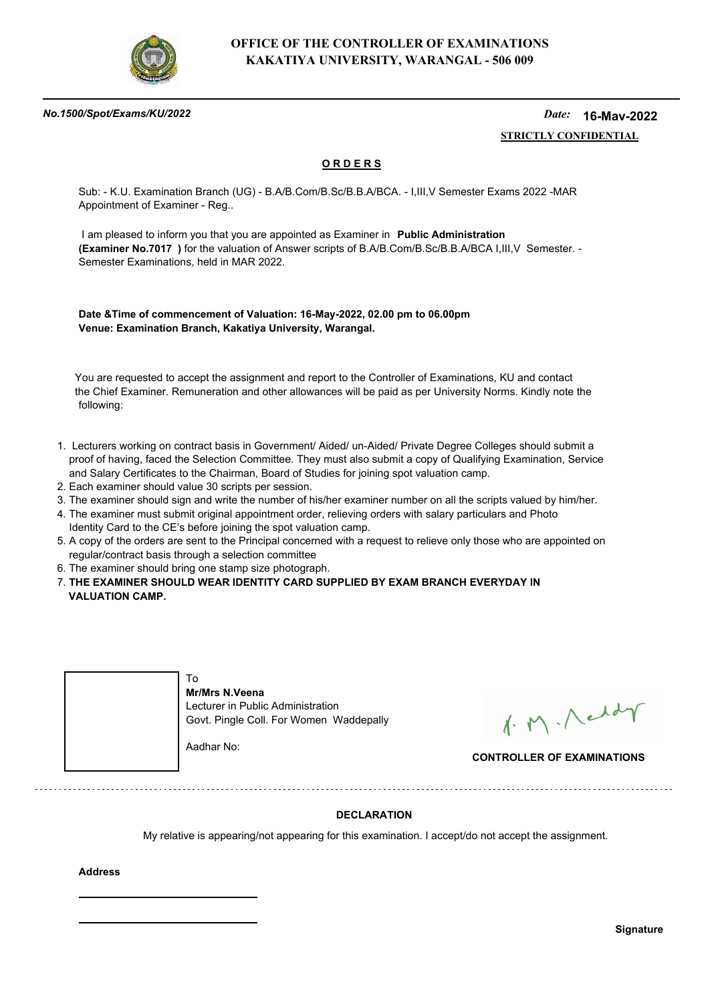

### *No.1500/Spot/Exams/KU/2022*

#### *Date:*  **STRICTLY CONFIDENTIAL 16-May-2022**

## **O R D E R S**

Sub: - K.U. Examination Branch (UG) - B.A/B.Com/B.Sc/B.B.A/BCA. - I,III,V Semester Exams 2022 -MAR Appointment of Examiner - Reg..

 I am pleased to inform you that you are appointed as Examiner in **Public Administration (Examiner No.7017 )** for the valuation of Answer scripts of B.A/B.Com/B.Sc/B.B.A/BCA I,III,V Semester. - Semester Examinations, held in MAR 2022.

**Date &Time of commencement of Valuation: 16-May-2022, 02.00 pm to 06.00pm Venue: Examination Branch, Kakatiya University, Warangal.**

 You are requested to accept the assignment and report to the Controller of Examinations, KU and contact the Chief Examiner. Remuneration and other allowances will be paid as per University Norms. Kindly note the following:

- 1. Lecturers working on contract basis in Government/ Aided/ un-Aided/ Private Degree Colleges should submit a proof of having, faced the Selection Committee. They must also submit a copy of Qualifying Examination, Service and Salary Certificates to the Chairman, Board of Studies for joining spot valuation camp.
- 2. Each examiner should value 30 scripts per session.
- 3. The examiner should sign and write the number of his/her examiner number on all the scripts valued by him/her.
- 4. The examiner must submit original appointment order, relieving orders with salary particulars and Photo Identity Card to the CE's before joining the spot valuation camp.
- 5. A copy of the orders are sent to the Principal concerned with a request to relieve only those who are appointed on regular/contract basis through a selection committee
- 6. The examiner should bring one stamp size photograph.
- 7. **THE EXAMINER SHOULD WEAR IDENTITY CARD SUPPLIED BY EXAM BRANCH EVERYDAY IN VALUATION CAMP.**



1. M. Neddy

**CONTROLLER OF EXAMINATIONS**

## **DECLARATION**

My relative is appearing/not appearing for this examination. I accept/do not accept the assignment.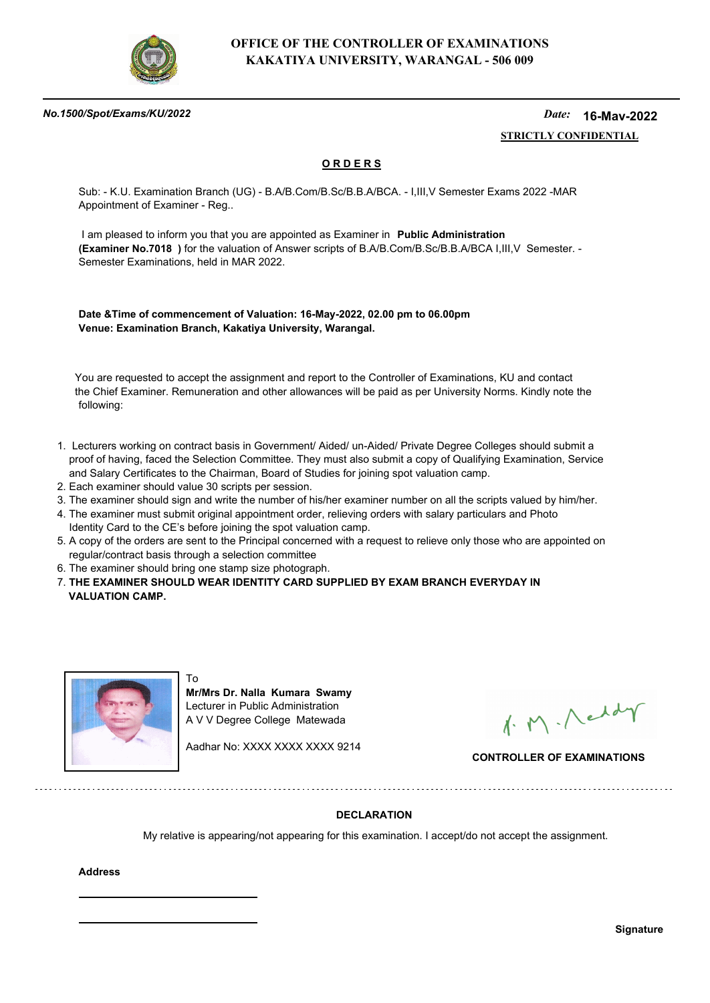

### *No.1500/Spot/Exams/KU/2022*

#### *Date:*  **STRICTLY CONFIDENTIAL 16-May-2022**

## **O R D E R S**

Sub: - K.U. Examination Branch (UG) - B.A/B.Com/B.Sc/B.B.A/BCA. - I,III,V Semester Exams 2022 -MAR Appointment of Examiner - Reg..

 I am pleased to inform you that you are appointed as Examiner in **Public Administration (Examiner No.7018 )** for the valuation of Answer scripts of B.A/B.Com/B.Sc/B.B.A/BCA I,III,V Semester. - Semester Examinations, held in MAR 2022.

**Date &Time of commencement of Valuation: 16-May-2022, 02.00 pm to 06.00pm Venue: Examination Branch, Kakatiya University, Warangal.**

 You are requested to accept the assignment and report to the Controller of Examinations, KU and contact the Chief Examiner. Remuneration and other allowances will be paid as per University Norms. Kindly note the following:

- 1. Lecturers working on contract basis in Government/ Aided/ un-Aided/ Private Degree Colleges should submit a proof of having, faced the Selection Committee. They must also submit a copy of Qualifying Examination, Service and Salary Certificates to the Chairman, Board of Studies for joining spot valuation camp.
- 2. Each examiner should value 30 scripts per session.
- 3. The examiner should sign and write the number of his/her examiner number on all the scripts valued by him/her.
- 4. The examiner must submit original appointment order, relieving orders with salary particulars and Photo Identity Card to the CE's before joining the spot valuation camp.
- 5. A copy of the orders are sent to the Principal concerned with a request to relieve only those who are appointed on regular/contract basis through a selection committee
- 6. The examiner should bring one stamp size photograph.

To

7. **THE EXAMINER SHOULD WEAR IDENTITY CARD SUPPLIED BY EXAM BRANCH EVERYDAY IN VALUATION CAMP.**



**Mr/Mrs Dr. Nalla Kumara Swamy** Lecturer in Public Administration A V V Degree College Matewada

Aadhar No: XXXX XXXX XXXX 9214

1. M. Neddy

**CONTROLLER OF EXAMINATIONS**

## **DECLARATION**

My relative is appearing/not appearing for this examination. I accept/do not accept the assignment.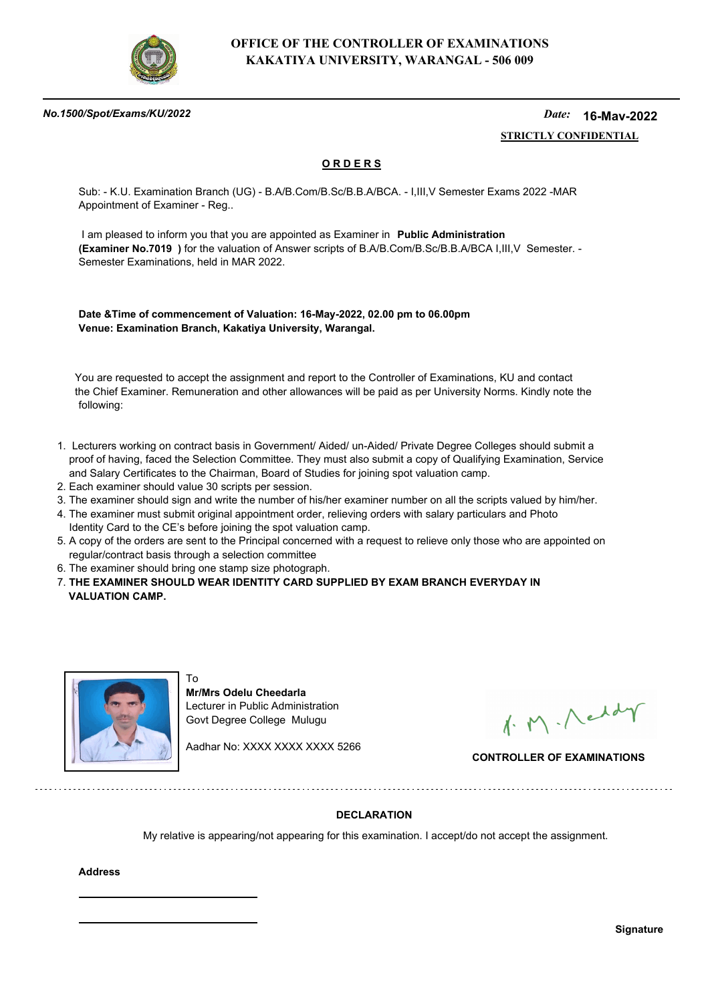

### *No.1500/Spot/Exams/KU/2022*

#### *Date:*  **STRICTLY CONFIDENTIAL 16-May-2022**

## **O R D E R S**

Sub: - K.U. Examination Branch (UG) - B.A/B.Com/B.Sc/B.B.A/BCA. - I,III,V Semester Exams 2022 -MAR Appointment of Examiner - Reg..

 I am pleased to inform you that you are appointed as Examiner in **Public Administration (Examiner No.7019 )** for the valuation of Answer scripts of B.A/B.Com/B.Sc/B.B.A/BCA I,III,V Semester. - Semester Examinations, held in MAR 2022.

**Date &Time of commencement of Valuation: 16-May-2022, 02.00 pm to 06.00pm Venue: Examination Branch, Kakatiya University, Warangal.**

 You are requested to accept the assignment and report to the Controller of Examinations, KU and contact the Chief Examiner. Remuneration and other allowances will be paid as per University Norms. Kindly note the following:

- 1. Lecturers working on contract basis in Government/ Aided/ un-Aided/ Private Degree Colleges should submit a proof of having, faced the Selection Committee. They must also submit a copy of Qualifying Examination, Service and Salary Certificates to the Chairman, Board of Studies for joining spot valuation camp.
- 2. Each examiner should value 30 scripts per session.
- 3. The examiner should sign and write the number of his/her examiner number on all the scripts valued by him/her.
- 4. The examiner must submit original appointment order, relieving orders with salary particulars and Photo Identity Card to the CE's before joining the spot valuation camp.
- 5. A copy of the orders are sent to the Principal concerned with a request to relieve only those who are appointed on regular/contract basis through a selection committee
- 6. The examiner should bring one stamp size photograph.

To

. . . . . . . . . . . . . . . . . . .

7. **THE EXAMINER SHOULD WEAR IDENTITY CARD SUPPLIED BY EXAM BRANCH EVERYDAY IN VALUATION CAMP.**



**Mr/Mrs Odelu Cheedarla** Lecturer in Public Administration Govt Degree College Mulugu

Aadhar No: XXXX XXXX XXXX 5266

1. M. Neddy

**CONTROLLER OF EXAMINATIONS**

## **DECLARATION**

My relative is appearing/not appearing for this examination. I accept/do not accept the assignment.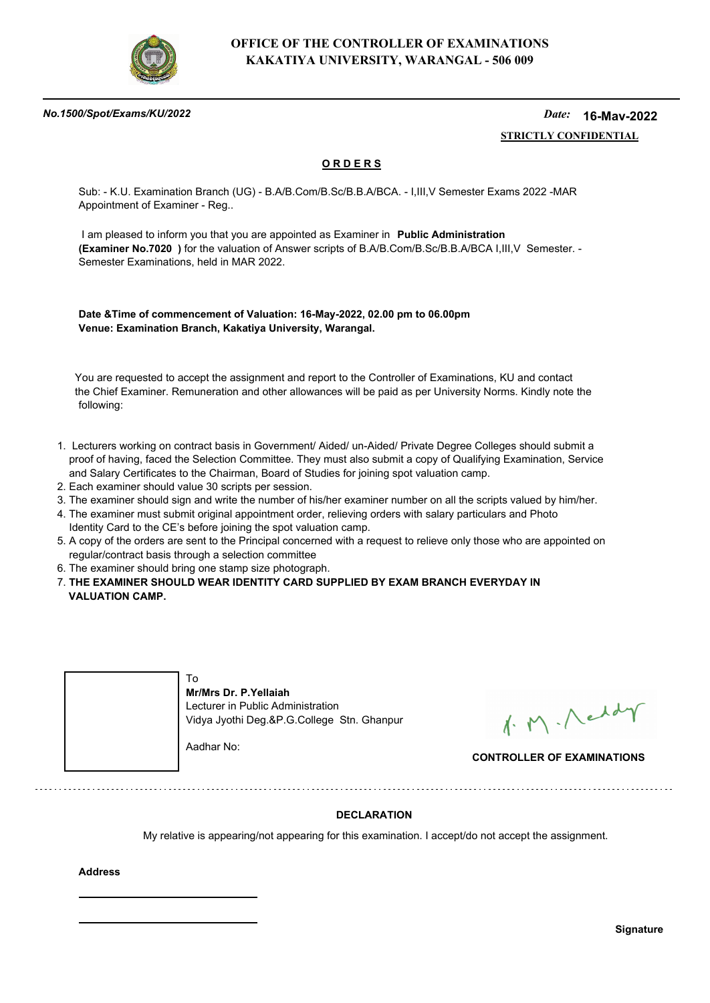

### *No.1500/Spot/Exams/KU/2022*

#### *Date:*  **STRICTLY CONFIDENTIAL 16-May-2022**

## **O R D E R S**

Sub: - K.U. Examination Branch (UG) - B.A/B.Com/B.Sc/B.B.A/BCA. - I,III,V Semester Exams 2022 -MAR Appointment of Examiner - Reg..

 I am pleased to inform you that you are appointed as Examiner in **Public Administration (Examiner No.7020 )** for the valuation of Answer scripts of B.A/B.Com/B.Sc/B.B.A/BCA I,III,V Semester. - Semester Examinations, held in MAR 2022.

**Date &Time of commencement of Valuation: 16-May-2022, 02.00 pm to 06.00pm Venue: Examination Branch, Kakatiya University, Warangal.**

 You are requested to accept the assignment and report to the Controller of Examinations, KU and contact the Chief Examiner. Remuneration and other allowances will be paid as per University Norms. Kindly note the following:

- 1. Lecturers working on contract basis in Government/ Aided/ un-Aided/ Private Degree Colleges should submit a proof of having, faced the Selection Committee. They must also submit a copy of Qualifying Examination, Service and Salary Certificates to the Chairman, Board of Studies for joining spot valuation camp.
- 2. Each examiner should value 30 scripts per session.
- 3. The examiner should sign and write the number of his/her examiner number on all the scripts valued by him/her.
- 4. The examiner must submit original appointment order, relieving orders with salary particulars and Photo Identity Card to the CE's before joining the spot valuation camp.
- 5. A copy of the orders are sent to the Principal concerned with a request to relieve only those who are appointed on regular/contract basis through a selection committee
- 6. The examiner should bring one stamp size photograph.
- 7. **THE EXAMINER SHOULD WEAR IDENTITY CARD SUPPLIED BY EXAM BRANCH EVERYDAY IN VALUATION CAMP.**



1. M. Neddy

**CONTROLLER OF EXAMINATIONS**

## **DECLARATION**

My relative is appearing/not appearing for this examination. I accept/do not accept the assignment.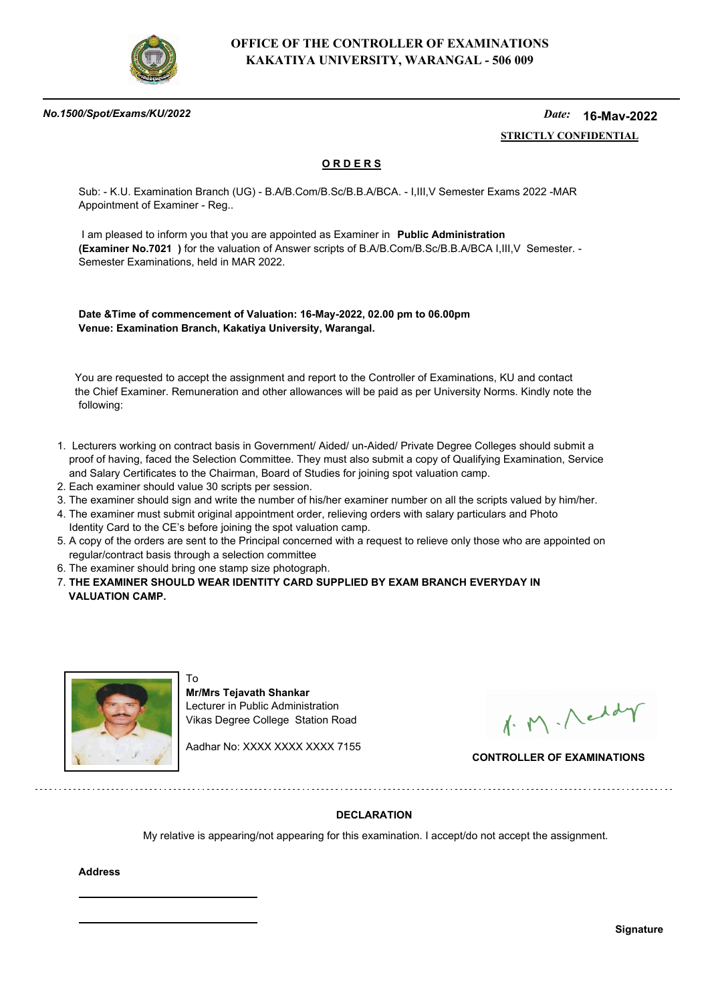

### *No.1500/Spot/Exams/KU/2022*

#### *Date:*  **STRICTLY CONFIDENTIAL 16-May-2022**

## **O R D E R S**

Sub: - K.U. Examination Branch (UG) - B.A/B.Com/B.Sc/B.B.A/BCA. - I,III,V Semester Exams 2022 -MAR Appointment of Examiner - Reg..

 I am pleased to inform you that you are appointed as Examiner in **Public Administration (Examiner No.7021 )** for the valuation of Answer scripts of B.A/B.Com/B.Sc/B.B.A/BCA I,III,V Semester. - Semester Examinations, held in MAR 2022.

**Date &Time of commencement of Valuation: 16-May-2022, 02.00 pm to 06.00pm Venue: Examination Branch, Kakatiya University, Warangal.**

 You are requested to accept the assignment and report to the Controller of Examinations, KU and contact the Chief Examiner. Remuneration and other allowances will be paid as per University Norms. Kindly note the following:

- 1. Lecturers working on contract basis in Government/ Aided/ un-Aided/ Private Degree Colleges should submit a proof of having, faced the Selection Committee. They must also submit a copy of Qualifying Examination, Service and Salary Certificates to the Chairman, Board of Studies for joining spot valuation camp.
- 2. Each examiner should value 30 scripts per session.
- 3. The examiner should sign and write the number of his/her examiner number on all the scripts valued by him/her.
- 4. The examiner must submit original appointment order, relieving orders with salary particulars and Photo Identity Card to the CE's before joining the spot valuation camp.
- 5. A copy of the orders are sent to the Principal concerned with a request to relieve only those who are appointed on regular/contract basis through a selection committee
- 6. The examiner should bring one stamp size photograph.

To

7. **THE EXAMINER SHOULD WEAR IDENTITY CARD SUPPLIED BY EXAM BRANCH EVERYDAY IN VALUATION CAMP.**



**Mr/Mrs Tejavath Shankar** Lecturer in Public Administration Vikas Degree College Station Road

Aadhar No: XXXX XXXX XXXX 7155

1. M. Neddy

**CONTROLLER OF EXAMINATIONS**

## **DECLARATION**

My relative is appearing/not appearing for this examination. I accept/do not accept the assignment.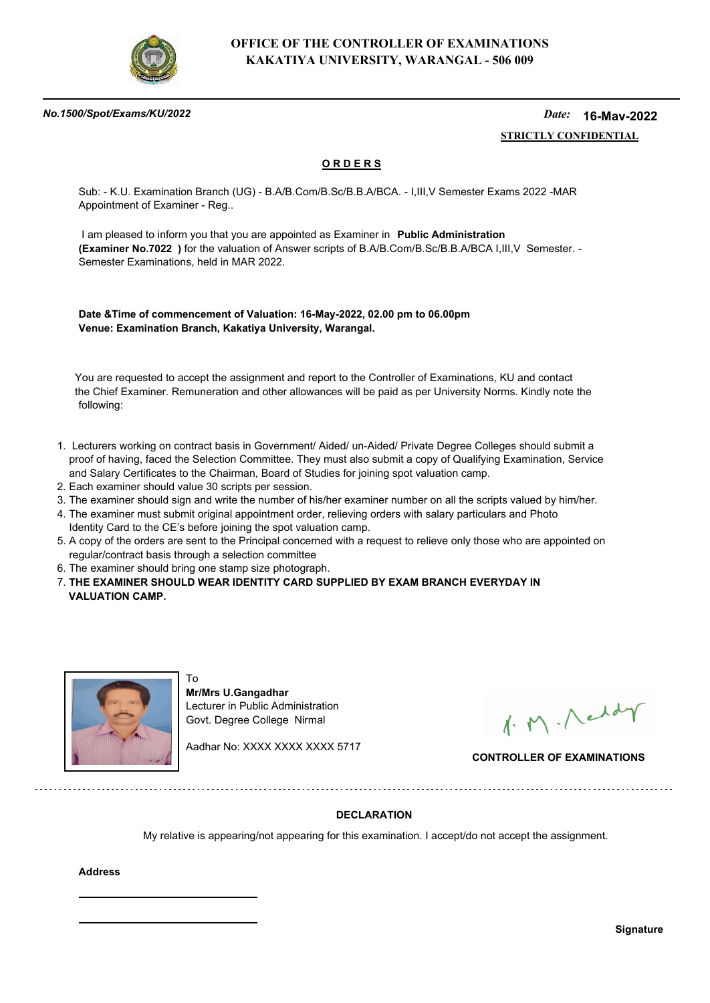

### *No.1500/Spot/Exams/KU/2022*

#### *Date:*  **STRICTLY CONFIDENTIAL 16-May-2022**

## **O R D E R S**

Sub: - K.U. Examination Branch (UG) - B.A/B.Com/B.Sc/B.B.A/BCA. - I,III,V Semester Exams 2022 -MAR Appointment of Examiner - Reg..

 I am pleased to inform you that you are appointed as Examiner in **Public Administration (Examiner No.7022 )** for the valuation of Answer scripts of B.A/B.Com/B.Sc/B.B.A/BCA I,III,V Semester. - Semester Examinations, held in MAR 2022.

**Date &Time of commencement of Valuation: 16-May-2022, 02.00 pm to 06.00pm Venue: Examination Branch, Kakatiya University, Warangal.**

 You are requested to accept the assignment and report to the Controller of Examinations, KU and contact the Chief Examiner. Remuneration and other allowances will be paid as per University Norms. Kindly note the following:

- 1. Lecturers working on contract basis in Government/ Aided/ un-Aided/ Private Degree Colleges should submit a proof of having, faced the Selection Committee. They must also submit a copy of Qualifying Examination, Service and Salary Certificates to the Chairman, Board of Studies for joining spot valuation camp.
- 2. Each examiner should value 30 scripts per session.
- 3. The examiner should sign and write the number of his/her examiner number on all the scripts valued by him/her.
- 4. The examiner must submit original appointment order, relieving orders with salary particulars and Photo Identity Card to the CE's before joining the spot valuation camp.
- 5. A copy of the orders are sent to the Principal concerned with a request to relieve only those who are appointed on regular/contract basis through a selection committee
- 6. The examiner should bring one stamp size photograph.

To

. . . . . . . . . . . . . . . . .

7. **THE EXAMINER SHOULD WEAR IDENTITY CARD SUPPLIED BY EXAM BRANCH EVERYDAY IN VALUATION CAMP.**



**Mr/Mrs U.Gangadhar** Lecturer in Public Administration Govt. Degree College Nirmal

Aadhar No: XXXX XXXX XXXX 5717

1. M. Neddy

**CONTROLLER OF EXAMINATIONS**

## **DECLARATION**

My relative is appearing/not appearing for this examination. I accept/do not accept the assignment.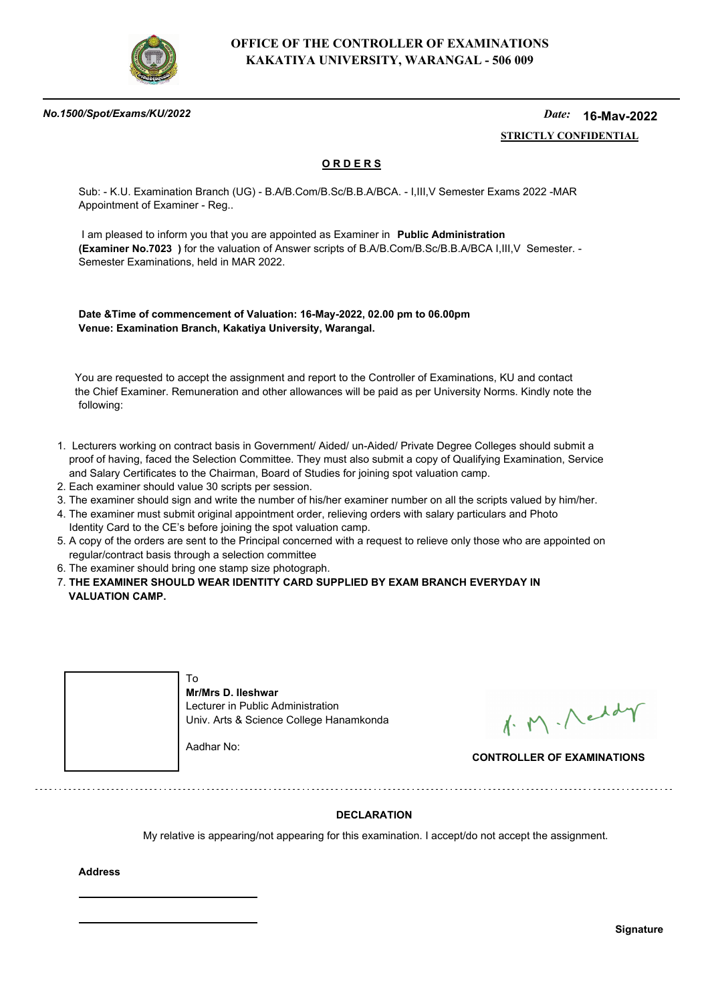

### *No.1500/Spot/Exams/KU/2022*

#### *Date:*  **STRICTLY CONFIDENTIAL 16-May-2022**

## **O R D E R S**

Sub: - K.U. Examination Branch (UG) - B.A/B.Com/B.Sc/B.B.A/BCA. - I,III,V Semester Exams 2022 -MAR Appointment of Examiner - Reg..

 I am pleased to inform you that you are appointed as Examiner in **Public Administration (Examiner No.7023 )** for the valuation of Answer scripts of B.A/B.Com/B.Sc/B.B.A/BCA I,III,V Semester. - Semester Examinations, held in MAR 2022.

**Date &Time of commencement of Valuation: 16-May-2022, 02.00 pm to 06.00pm Venue: Examination Branch, Kakatiya University, Warangal.**

 You are requested to accept the assignment and report to the Controller of Examinations, KU and contact the Chief Examiner. Remuneration and other allowances will be paid as per University Norms. Kindly note the following:

- 1. Lecturers working on contract basis in Government/ Aided/ un-Aided/ Private Degree Colleges should submit a proof of having, faced the Selection Committee. They must also submit a copy of Qualifying Examination, Service and Salary Certificates to the Chairman, Board of Studies for joining spot valuation camp.
- 2. Each examiner should value 30 scripts per session.
- 3. The examiner should sign and write the number of his/her examiner number on all the scripts valued by him/her.
- 4. The examiner must submit original appointment order, relieving orders with salary particulars and Photo Identity Card to the CE's before joining the spot valuation camp.
- 5. A copy of the orders are sent to the Principal concerned with a request to relieve only those who are appointed on regular/contract basis through a selection committee
- 6. The examiner should bring one stamp size photograph.
- 7. **THE EXAMINER SHOULD WEAR IDENTITY CARD SUPPLIED BY EXAM BRANCH EVERYDAY IN VALUATION CAMP.**



1. M. Neddy

**CONTROLLER OF EXAMINATIONS**

## **DECLARATION**

My relative is appearing/not appearing for this examination. I accept/do not accept the assignment.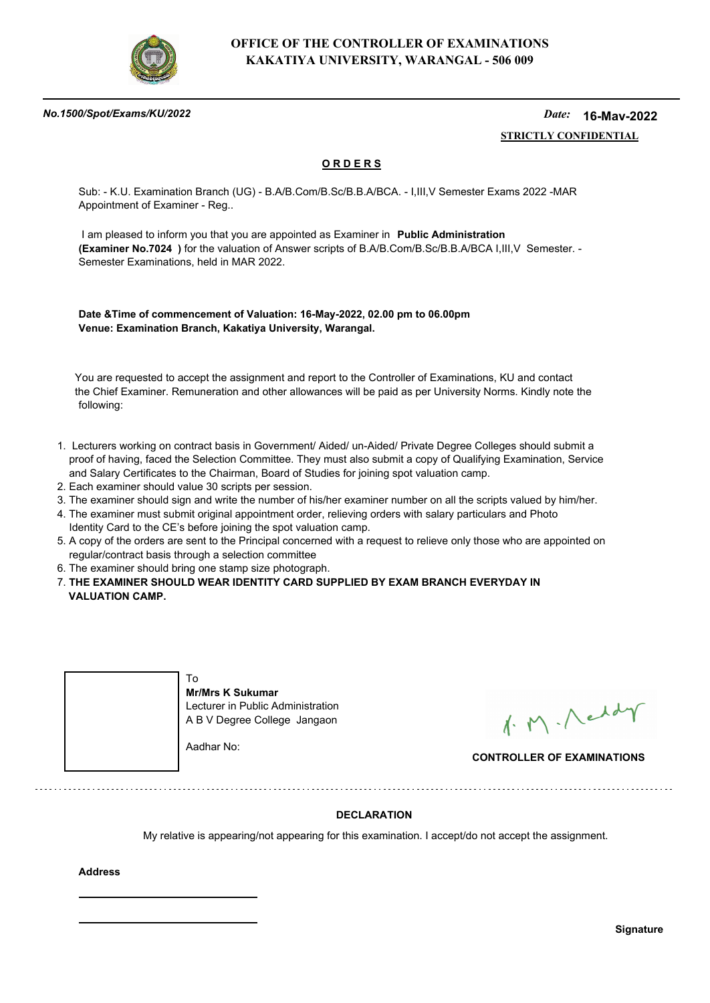

### *No.1500/Spot/Exams/KU/2022*

#### *Date:*  **STRICTLY CONFIDENTIAL 16-May-2022**

## **O R D E R S**

Sub: - K.U. Examination Branch (UG) - B.A/B.Com/B.Sc/B.B.A/BCA. - I,III,V Semester Exams 2022 -MAR Appointment of Examiner - Reg..

 I am pleased to inform you that you are appointed as Examiner in **Public Administration (Examiner No.7024 )** for the valuation of Answer scripts of B.A/B.Com/B.Sc/B.B.A/BCA I,III,V Semester. - Semester Examinations, held in MAR 2022.

**Date &Time of commencement of Valuation: 16-May-2022, 02.00 pm to 06.00pm Venue: Examination Branch, Kakatiya University, Warangal.**

 You are requested to accept the assignment and report to the Controller of Examinations, KU and contact the Chief Examiner. Remuneration and other allowances will be paid as per University Norms. Kindly note the following:

- 1. Lecturers working on contract basis in Government/ Aided/ un-Aided/ Private Degree Colleges should submit a proof of having, faced the Selection Committee. They must also submit a copy of Qualifying Examination, Service and Salary Certificates to the Chairman, Board of Studies for joining spot valuation camp.
- 2. Each examiner should value 30 scripts per session.
- 3. The examiner should sign and write the number of his/her examiner number on all the scripts valued by him/her.
- 4. The examiner must submit original appointment order, relieving orders with salary particulars and Photo Identity Card to the CE's before joining the spot valuation camp.
- 5. A copy of the orders are sent to the Principal concerned with a request to relieve only those who are appointed on regular/contract basis through a selection committee
- 6. The examiner should bring one stamp size photograph.
- 7. **THE EXAMINER SHOULD WEAR IDENTITY CARD SUPPLIED BY EXAM BRANCH EVERYDAY IN VALUATION CAMP.**



1. M. Neddy

**CONTROLLER OF EXAMINATIONS**

## **DECLARATION**

My relative is appearing/not appearing for this examination. I accept/do not accept the assignment.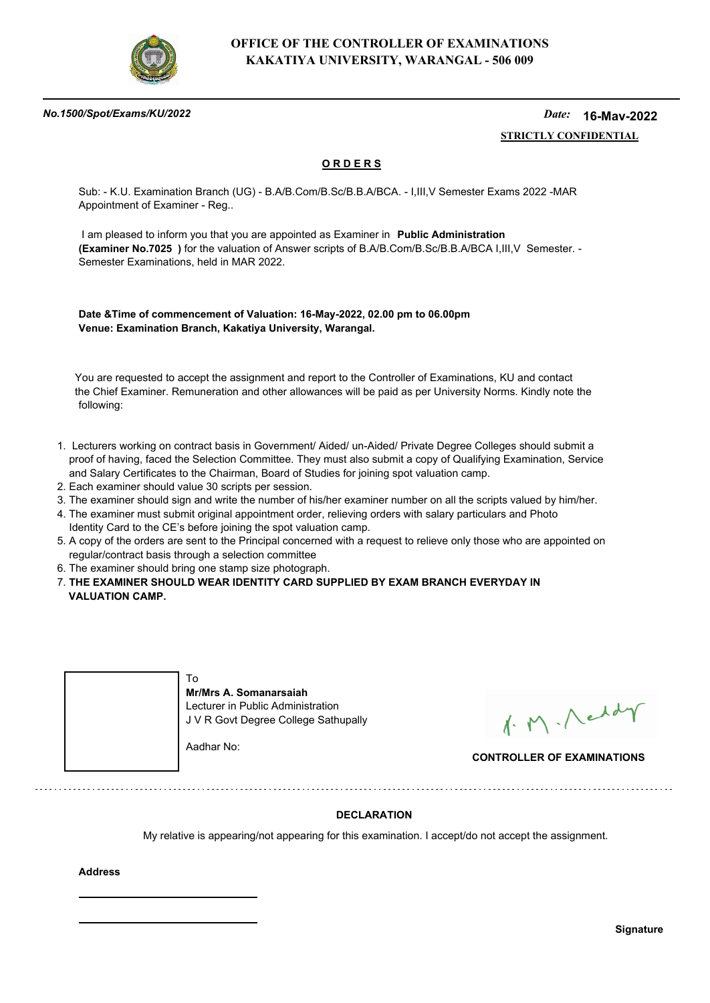

### *No.1500/Spot/Exams/KU/2022*

#### *Date:*  **STRICTLY CONFIDENTIAL 16-May-2022**

## **O R D E R S**

Sub: - K.U. Examination Branch (UG) - B.A/B.Com/B.Sc/B.B.A/BCA. - I,III,V Semester Exams 2022 -MAR Appointment of Examiner - Reg..

 I am pleased to inform you that you are appointed as Examiner in **Public Administration (Examiner No.7025 )** for the valuation of Answer scripts of B.A/B.Com/B.Sc/B.B.A/BCA I,III,V Semester. - Semester Examinations, held in MAR 2022.

**Date &Time of commencement of Valuation: 16-May-2022, 02.00 pm to 06.00pm Venue: Examination Branch, Kakatiya University, Warangal.**

 You are requested to accept the assignment and report to the Controller of Examinations, KU and contact the Chief Examiner. Remuneration and other allowances will be paid as per University Norms. Kindly note the following:

- 1. Lecturers working on contract basis in Government/ Aided/ un-Aided/ Private Degree Colleges should submit a proof of having, faced the Selection Committee. They must also submit a copy of Qualifying Examination, Service and Salary Certificates to the Chairman, Board of Studies for joining spot valuation camp.
- 2. Each examiner should value 30 scripts per session.
- 3. The examiner should sign and write the number of his/her examiner number on all the scripts valued by him/her.
- 4. The examiner must submit original appointment order, relieving orders with salary particulars and Photo Identity Card to the CE's before joining the spot valuation camp.
- 5. A copy of the orders are sent to the Principal concerned with a request to relieve only those who are appointed on regular/contract basis through a selection committee
- 6. The examiner should bring one stamp size photograph.
- 7. **THE EXAMINER SHOULD WEAR IDENTITY CARD SUPPLIED BY EXAM BRANCH EVERYDAY IN VALUATION CAMP.**



1. M. Neddy

**CONTROLLER OF EXAMINATIONS**

## **DECLARATION**

My relative is appearing/not appearing for this examination. I accept/do not accept the assignment.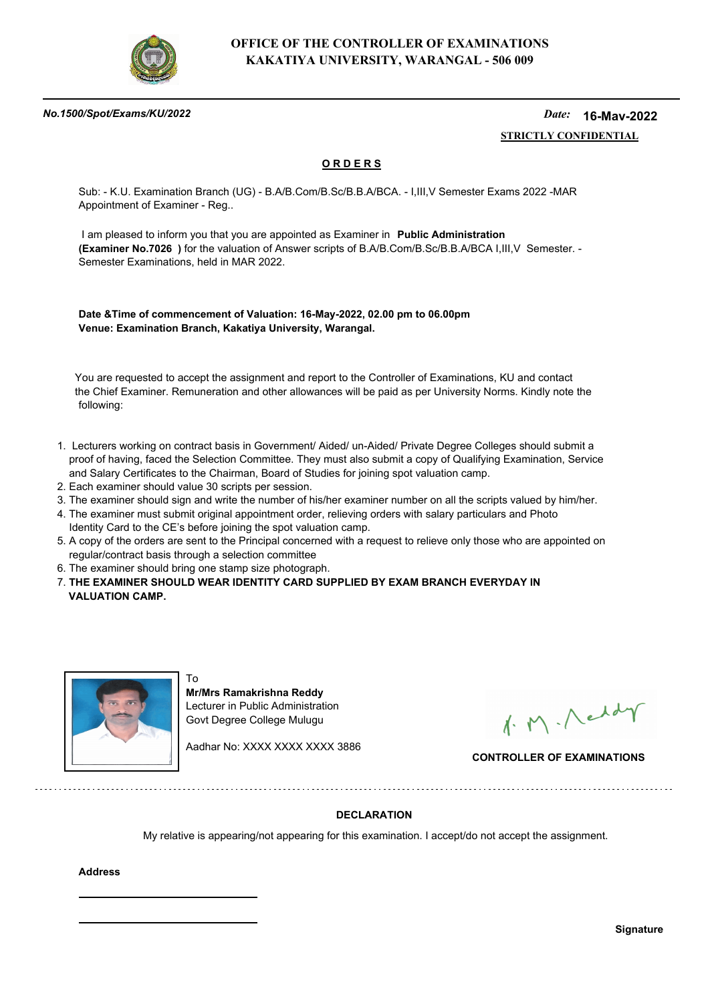

### *No.1500/Spot/Exams/KU/2022*

#### *Date:*  **STRICTLY CONFIDENTIAL 16-May-2022**

## **O R D E R S**

Sub: - K.U. Examination Branch (UG) - B.A/B.Com/B.Sc/B.B.A/BCA. - I,III,V Semester Exams 2022 -MAR Appointment of Examiner - Reg..

 I am pleased to inform you that you are appointed as Examiner in **Public Administration (Examiner No.7026 )** for the valuation of Answer scripts of B.A/B.Com/B.Sc/B.B.A/BCA I,III,V Semester. - Semester Examinations, held in MAR 2022.

**Date &Time of commencement of Valuation: 16-May-2022, 02.00 pm to 06.00pm Venue: Examination Branch, Kakatiya University, Warangal.**

 You are requested to accept the assignment and report to the Controller of Examinations, KU and contact the Chief Examiner. Remuneration and other allowances will be paid as per University Norms. Kindly note the following:

- 1. Lecturers working on contract basis in Government/ Aided/ un-Aided/ Private Degree Colleges should submit a proof of having, faced the Selection Committee. They must also submit a copy of Qualifying Examination, Service and Salary Certificates to the Chairman, Board of Studies for joining spot valuation camp.
- 2. Each examiner should value 30 scripts per session.
- 3. The examiner should sign and write the number of his/her examiner number on all the scripts valued by him/her.
- 4. The examiner must submit original appointment order, relieving orders with salary particulars and Photo Identity Card to the CE's before joining the spot valuation camp.
- 5. A copy of the orders are sent to the Principal concerned with a request to relieve only those who are appointed on regular/contract basis through a selection committee
- 6. The examiner should bring one stamp size photograph.

. . . . . . . . . . . . . . . . .

7. **THE EXAMINER SHOULD WEAR IDENTITY CARD SUPPLIED BY EXAM BRANCH EVERYDAY IN VALUATION CAMP.**



To **Mr/Mrs Ramakrishna Reddy** Lecturer in Public Administration Govt Degree College Mulugu

Aadhar No: XXXX XXXX XXXX 3886

1. M. Neddy

**CONTROLLER OF EXAMINATIONS**

## **DECLARATION**

My relative is appearing/not appearing for this examination. I accept/do not accept the assignment.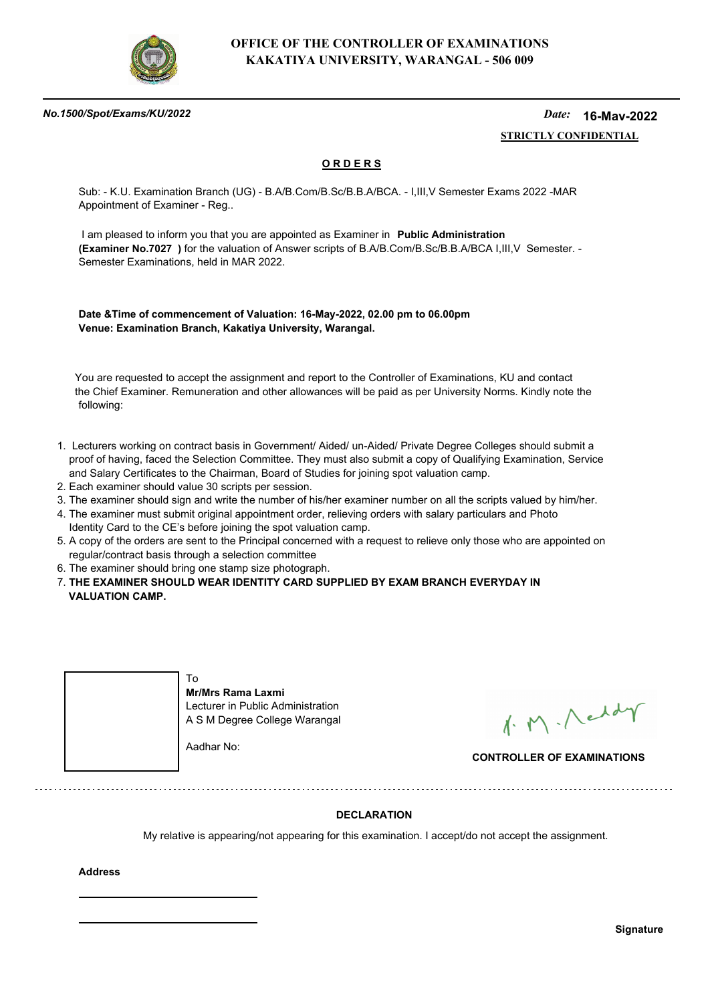

### *No.1500/Spot/Exams/KU/2022*

#### *Date:*  **STRICTLY CONFIDENTIAL 16-May-2022**

## **O R D E R S**

Sub: - K.U. Examination Branch (UG) - B.A/B.Com/B.Sc/B.B.A/BCA. - I,III,V Semester Exams 2022 -MAR Appointment of Examiner - Reg..

 I am pleased to inform you that you are appointed as Examiner in **Public Administration (Examiner No.7027 )** for the valuation of Answer scripts of B.A/B.Com/B.Sc/B.B.A/BCA I,III,V Semester. - Semester Examinations, held in MAR 2022.

**Date &Time of commencement of Valuation: 16-May-2022, 02.00 pm to 06.00pm Venue: Examination Branch, Kakatiya University, Warangal.**

 You are requested to accept the assignment and report to the Controller of Examinations, KU and contact the Chief Examiner. Remuneration and other allowances will be paid as per University Norms. Kindly note the following:

- 1. Lecturers working on contract basis in Government/ Aided/ un-Aided/ Private Degree Colleges should submit a proof of having, faced the Selection Committee. They must also submit a copy of Qualifying Examination, Service and Salary Certificates to the Chairman, Board of Studies for joining spot valuation camp.
- 2. Each examiner should value 30 scripts per session.
- 3. The examiner should sign and write the number of his/her examiner number on all the scripts valued by him/her.
- 4. The examiner must submit original appointment order, relieving orders with salary particulars and Photo Identity Card to the CE's before joining the spot valuation camp.
- 5. A copy of the orders are sent to the Principal concerned with a request to relieve only those who are appointed on regular/contract basis through a selection committee
- 6. The examiner should bring one stamp size photograph.
- 7. **THE EXAMINER SHOULD WEAR IDENTITY CARD SUPPLIED BY EXAM BRANCH EVERYDAY IN VALUATION CAMP.**



1. M. Neddy

**CONTROLLER OF EXAMINATIONS**

## **DECLARATION**

My relative is appearing/not appearing for this examination. I accept/do not accept the assignment.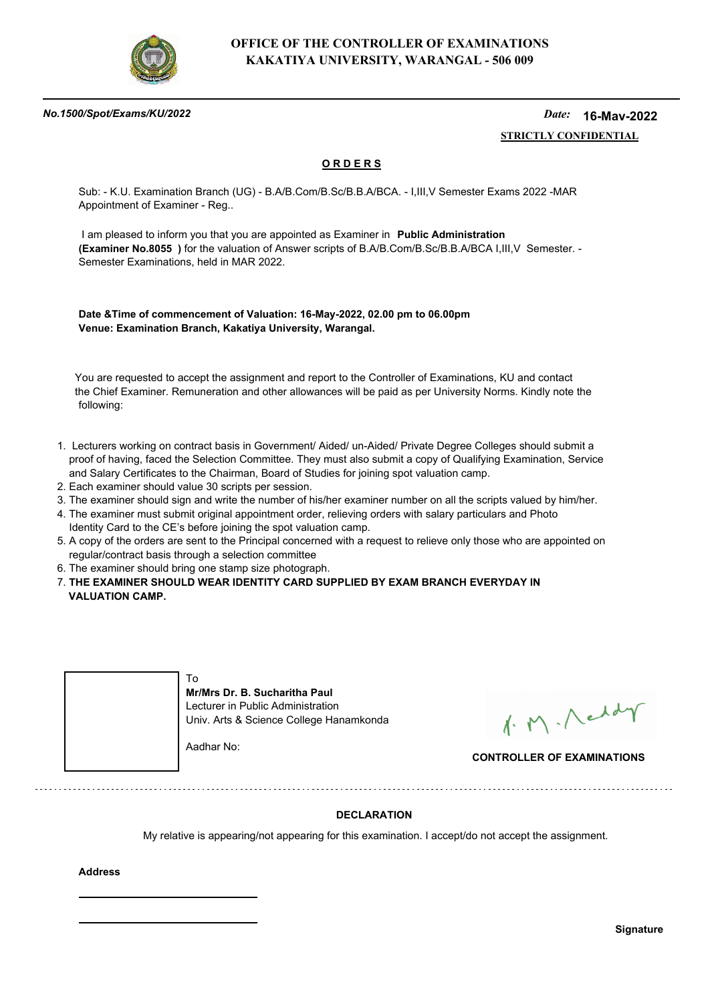

### *No.1500/Spot/Exams/KU/2022*

#### *Date:*  **STRICTLY CONFIDENTIAL 16-May-2022**

## **O R D E R S**

Sub: - K.U. Examination Branch (UG) - B.A/B.Com/B.Sc/B.B.A/BCA. - I,III,V Semester Exams 2022 -MAR Appointment of Examiner - Reg..

 I am pleased to inform you that you are appointed as Examiner in **Public Administration (Examiner No.8055 )** for the valuation of Answer scripts of B.A/B.Com/B.Sc/B.B.A/BCA I,III,V Semester. - Semester Examinations, held in MAR 2022.

**Date &Time of commencement of Valuation: 16-May-2022, 02.00 pm to 06.00pm Venue: Examination Branch, Kakatiya University, Warangal.**

 You are requested to accept the assignment and report to the Controller of Examinations, KU and contact the Chief Examiner. Remuneration and other allowances will be paid as per University Norms. Kindly note the following:

- 1. Lecturers working on contract basis in Government/ Aided/ un-Aided/ Private Degree Colleges should submit a proof of having, faced the Selection Committee. They must also submit a copy of Qualifying Examination, Service and Salary Certificates to the Chairman, Board of Studies for joining spot valuation camp.
- 2. Each examiner should value 30 scripts per session.
- 3. The examiner should sign and write the number of his/her examiner number on all the scripts valued by him/her.
- 4. The examiner must submit original appointment order, relieving orders with salary particulars and Photo Identity Card to the CE's before joining the spot valuation camp.
- 5. A copy of the orders are sent to the Principal concerned with a request to relieve only those who are appointed on regular/contract basis through a selection committee
- 6. The examiner should bring one stamp size photograph.
- 7. **THE EXAMINER SHOULD WEAR IDENTITY CARD SUPPLIED BY EXAM BRANCH EVERYDAY IN VALUATION CAMP.**

| Т٥<br>Mr/Mrs Dr. B. Sucharitha Paul<br>Lecturer in Public Administration<br>Univ. Arts & Science College Hanamkonda |
|---------------------------------------------------------------------------------------------------------------------|
| Aadhar No:                                                                                                          |

1. M. Neddy

**CONTROLLER OF EXAMINATIONS**

## **DECLARATION**

My relative is appearing/not appearing for this examination. I accept/do not accept the assignment.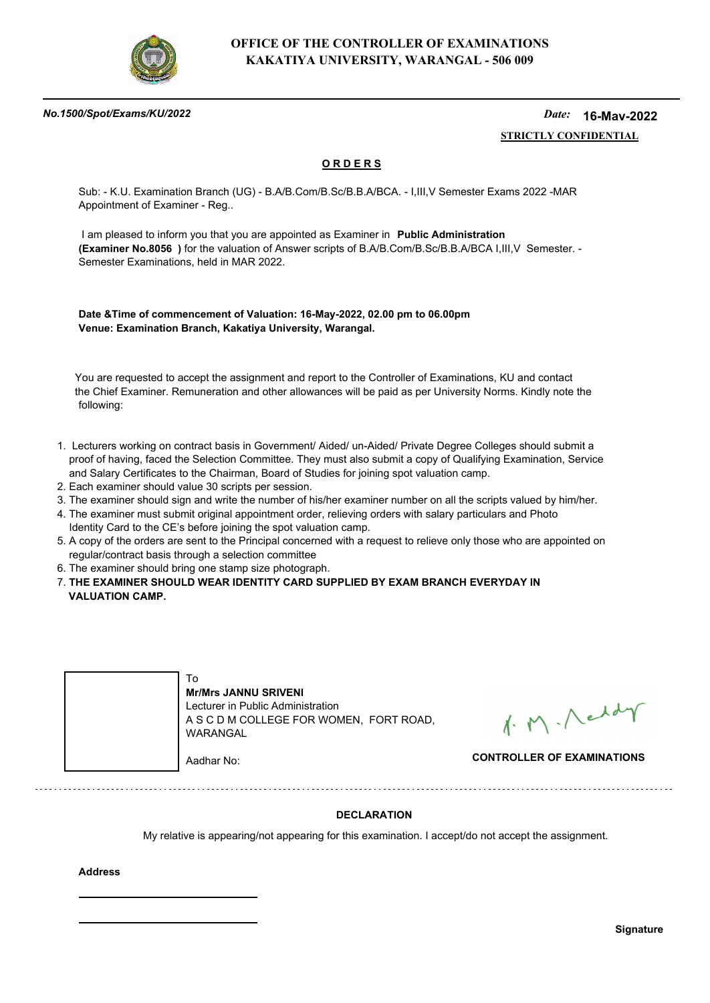

### *No.1500/Spot/Exams/KU/2022*

#### *Date:*  **STRICTLY CONFIDENTIAL 16-May-2022**

## **O R D E R S**

Sub: - K.U. Examination Branch (UG) - B.A/B.Com/B.Sc/B.B.A/BCA. - I,III,V Semester Exams 2022 -MAR Appointment of Examiner - Reg..

 I am pleased to inform you that you are appointed as Examiner in **Public Administration (Examiner No.8056 )** for the valuation of Answer scripts of B.A/B.Com/B.Sc/B.B.A/BCA I,III,V Semester. - Semester Examinations, held in MAR 2022.

**Date &Time of commencement of Valuation: 16-May-2022, 02.00 pm to 06.00pm Venue: Examination Branch, Kakatiya University, Warangal.**

 You are requested to accept the assignment and report to the Controller of Examinations, KU and contact the Chief Examiner. Remuneration and other allowances will be paid as per University Norms. Kindly note the following:

- 1. Lecturers working on contract basis in Government/ Aided/ un-Aided/ Private Degree Colleges should submit a proof of having, faced the Selection Committee. They must also submit a copy of Qualifying Examination, Service and Salary Certificates to the Chairman, Board of Studies for joining spot valuation camp.
- 2. Each examiner should value 30 scripts per session.
- 3. The examiner should sign and write the number of his/her examiner number on all the scripts valued by him/her.
- 4. The examiner must submit original appointment order, relieving orders with salary particulars and Photo Identity Card to the CE's before joining the spot valuation camp.
- 5. A copy of the orders are sent to the Principal concerned with a request to relieve only those who are appointed on regular/contract basis through a selection committee
- 6. The examiner should bring one stamp size photograph.
- 7. **THE EXAMINER SHOULD WEAR IDENTITY CARD SUPPLIED BY EXAM BRANCH EVERYDAY IN VALUATION CAMP.**

|  | l o<br><b>Mr/Mrs JANNU SRIVENI</b><br>Lecturer in Public Administration<br>A S C D M COLLEGE FOR WOMEN, FORT ROAD,<br>WARANGAL |                                   |
|--|--------------------------------------------------------------------------------------------------------------------------------|-----------------------------------|
|  | Aadhar No:                                                                                                                     | <b>CONTROLLER OF EXAMINATIONS</b> |

1. M. Neddy

## **DECLARATION**

My relative is appearing/not appearing for this examination. I accept/do not accept the assignment.